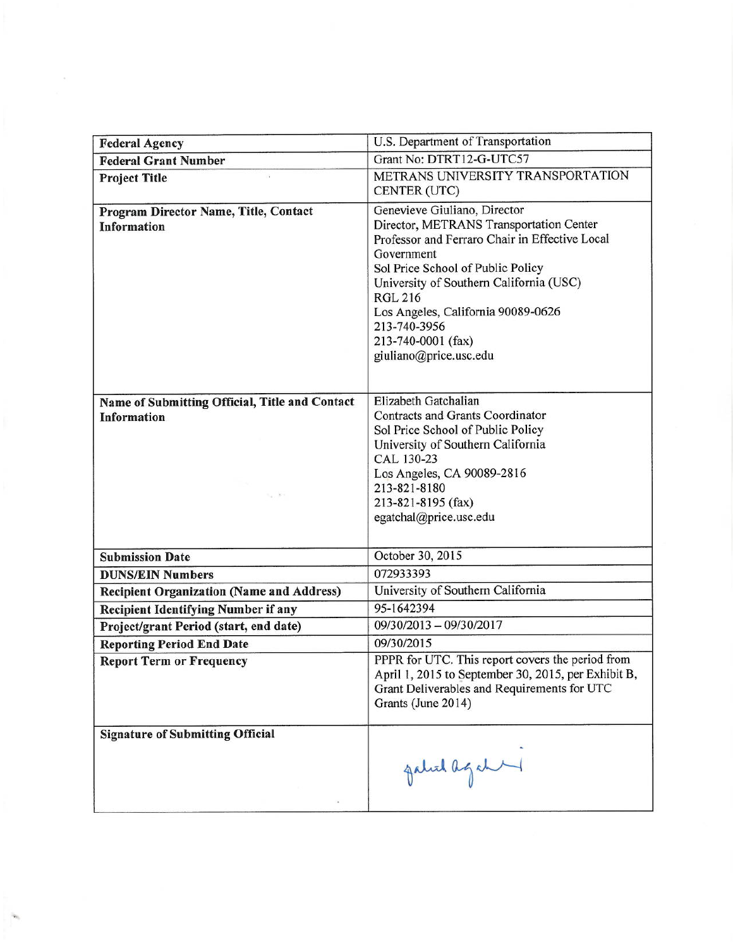| <b>Federal Agency</b>                                                                                         | U.S. Department of Transportation                                                                                                                                                                                                                                                                                                                                       |
|---------------------------------------------------------------------------------------------------------------|-------------------------------------------------------------------------------------------------------------------------------------------------------------------------------------------------------------------------------------------------------------------------------------------------------------------------------------------------------------------------|
| <b>Federal Grant Number</b>                                                                                   | Grant No: DTRT12-G-UTC57                                                                                                                                                                                                                                                                                                                                                |
| <b>Project Title</b>                                                                                          | METRANS UNIVERSITY TRANSPORTATION<br>CENTER (UTC)                                                                                                                                                                                                                                                                                                                       |
| Program Director Name, Title, Contact<br><b>Information</b><br>Name of Submitting Official, Title and Contact | Genevieve Giuliano, Director<br>Director, METRANS Transportation Center<br>Professor and Ferraro Chair in Effective Local<br>Government<br>Sol Price School of Public Policy<br>University of Southern California (USC)<br><b>RGL 216</b><br>Los Angeles, California 90089-0626<br>213-740-3956<br>213-740-0001 (fax)<br>giuliano@price.usc.edu<br>Elizabeth Gatchalian |
| <b>Information</b><br>$\mathbb{E}_\alpha$ . It is                                                             | Contracts and Grants Coordinator<br>Sol Price School of Public Policy<br>University of Southern California<br>CAL 130-23<br>Los Angeles, CA 90089-2816<br>213-821-8180<br>213-821-8195 (fax)<br>egatchal@price.usc.edu                                                                                                                                                  |
| <b>Submission Date</b>                                                                                        | October 30, 2015                                                                                                                                                                                                                                                                                                                                                        |
| <b>DUNS/EIN Numbers</b>                                                                                       | 072933393                                                                                                                                                                                                                                                                                                                                                               |
| <b>Recipient Organization (Name and Address)</b>                                                              | University of Southern California                                                                                                                                                                                                                                                                                                                                       |
| <b>Recipient Identifying Number if any</b>                                                                    | 95-1642394                                                                                                                                                                                                                                                                                                                                                              |
| Project/grant Period (start, end date)                                                                        | 09/30/2013 - 09/30/2017                                                                                                                                                                                                                                                                                                                                                 |
| <b>Reporting Period End Date</b>                                                                              | 09/30/2015                                                                                                                                                                                                                                                                                                                                                              |
| <b>Report Term or Frequency</b>                                                                               | PPPR for UTC. This report covers the period from<br>April 1, 2015 to September 30, 2015, per Exhibit B,<br>Grant Deliverables and Requirements for UTC<br>Grants (June 2014)                                                                                                                                                                                            |
| <b>Signature of Submitting Official</b>                                                                       | galich agabe                                                                                                                                                                                                                                                                                                                                                            |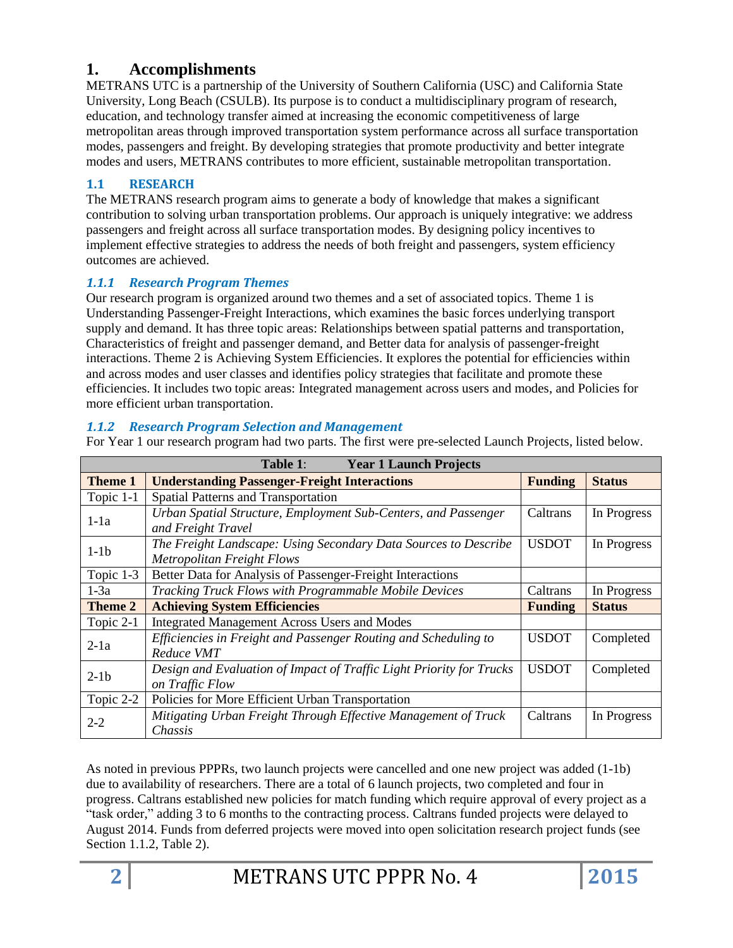# **1. Accomplishments**

METRANS UTC is a partnership of the University of Southern California (USC) and California State University, Long Beach (CSULB). Its purpose is to conduct a multidisciplinary program of research, education, and technology transfer aimed at increasing the economic competitiveness of large metropolitan areas through improved transportation system performance across all surface transportation modes, passengers and freight. By developing strategies that promote productivity and better integrate modes and users, METRANS contributes to more efficient, sustainable metropolitan transportation.

## **1.1 RESEARCH**

The METRANS research program aims to generate a body of knowledge that makes a significant contribution to solving urban transportation problems. Our approach is uniquely integrative: we address passengers and freight across all surface transportation modes. By designing policy incentives to implement effective strategies to address the needs of both freight and passengers, system efficiency outcomes are achieved.

## *1.1.1 Research Program Themes*

Our research program is organized around two themes and a set of associated topics. Theme 1 is Understanding Passenger-Freight Interactions, which examines the basic forces underlying transport supply and demand. It has three topic areas: Relationships between spatial patterns and transportation, Characteristics of freight and passenger demand, and Better data for analysis of passenger-freight interactions. Theme 2 is Achieving System Efficiencies. It explores the potential for efficiencies within and across modes and user classes and identifies policy strategies that facilitate and promote these efficiencies. It includes two topic areas: Integrated management across users and modes, and Policies for more efficient urban transportation.

## *1.1.2 Research Program Selection and Management*

For Year 1 our research program had two parts. The first were pre-selected Launch Projects, listed below.

| Table 1:<br><b>Year 1 Launch Projects</b> |                                                                      |                |               |
|-------------------------------------------|----------------------------------------------------------------------|----------------|---------------|
| <b>Theme 1</b>                            | <b>Understanding Passenger-Freight Interactions</b>                  | <b>Funding</b> | <b>Status</b> |
| Topic 1-1                                 | Spatial Patterns and Transportation                                  |                |               |
| $1-1a$                                    | Urban Spatial Structure, Employment Sub-Centers, and Passenger       | Caltrans       | In Progress   |
|                                           | and Freight Travel                                                   |                |               |
| $1-1b$                                    | The Freight Landscape: Using Secondary Data Sources to Describe      | <b>USDOT</b>   | In Progress   |
|                                           | <b>Metropolitan Freight Flows</b>                                    |                |               |
| Topic 1-3                                 | Better Data for Analysis of Passenger-Freight Interactions           |                |               |
| $1-3a$                                    | Tracking Truck Flows with Programmable Mobile Devices<br>Caltrans    |                | In Progress   |
| Theme 2                                   | <b>Achieving System Efficiencies</b><br><b>Funding</b>               |                | <b>Status</b> |
| Topic 2-1                                 | <b>Integrated Management Across Users and Modes</b>                  |                |               |
| $2-1a$                                    | Efficiencies in Freight and Passenger Routing and Scheduling to      | <b>USDOT</b>   | Completed     |
|                                           | Reduce VMT                                                           |                |               |
| $2-1b$                                    | Design and Evaluation of Impact of Traffic Light Priority for Trucks | <b>USDOT</b>   | Completed     |
|                                           | on Traffic Flow                                                      |                |               |
| Topic 2-2                                 | Policies for More Efficient Urban Transportation                     |                |               |
| $2 - 2$                                   | Mitigating Urban Freight Through Effective Management of Truck       | Caltrans       | In Progress   |
|                                           | Chassis                                                              |                |               |

As noted in previous PPPRs, two launch projects were cancelled and one new project was added (1-1b) due to availability of researchers. There are a total of 6 launch projects, two completed and four in progress. Caltrans established new policies for match funding which require approval of every project as a "task order," adding 3 to 6 months to the contracting process. Caltrans funded projects were delayed to August 2014. Funds from deferred projects were moved into open solicitation research project funds (see Section 1.1.2, Table 2).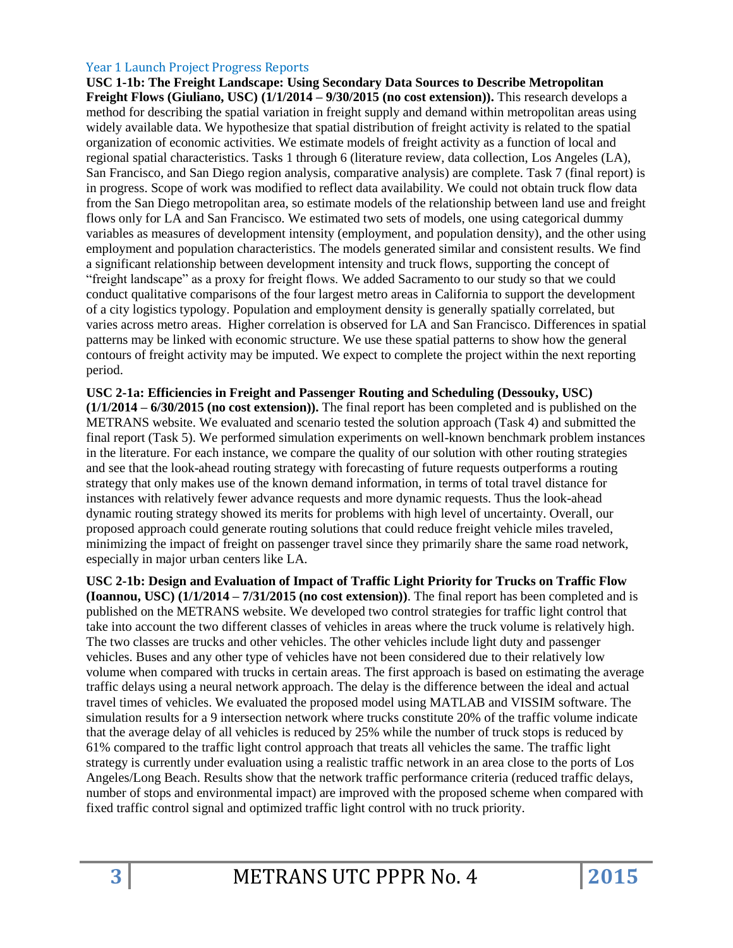#### Year 1 Launch Project Progress Reports

**USC 1-1b: The Freight Landscape: Using Secondary Data Sources to Describe Metropolitan Freight Flows (Giuliano, USC) (1/1/2014 – 9/30/2015 (no cost extension)).** This research develops a method for describing the spatial variation in freight supply and demand within metropolitan areas using widely available data. We hypothesize that spatial distribution of freight activity is related to the spatial organization of economic activities. We estimate models of freight activity as a function of local and regional spatial characteristics. Tasks 1 through 6 (literature review, data collection, Los Angeles (LA), San Francisco, and San Diego region analysis, comparative analysis) are complete. Task 7 (final report) is in progress. Scope of work was modified to reflect data availability. We could not obtain truck flow data from the San Diego metropolitan area, so estimate models of the relationship between land use and freight flows only for LA and San Francisco. We estimated two sets of models, one using categorical dummy variables as measures of development intensity (employment, and population density), and the other using employment and population characteristics. The models generated similar and consistent results. We find a significant relationship between development intensity and truck flows, supporting the concept of "freight landscape" as a proxy for freight flows. We added Sacramento to our study so that we could conduct qualitative comparisons of the four largest metro areas in California to support the development of a city logistics typology. Population and employment density is generally spatially correlated, but varies across metro areas. Higher correlation is observed for LA and San Francisco. Differences in spatial patterns may be linked with economic structure. We use these spatial patterns to show how the general contours of freight activity may be imputed. We expect to complete the project within the next reporting period.

**USC 2-1a: Efficiencies in Freight and Passenger Routing and Scheduling (Dessouky, USC) (1/1/2014 – 6/30/2015 (no cost extension)).** The final report has been completed and is published on the METRANS website. We evaluated and scenario tested the solution approach (Task 4) and submitted the final report (Task 5). We performed simulation experiments on well-known benchmark problem instances in the literature. For each instance, we compare the quality of our solution with other routing strategies and see that the look-ahead routing strategy with forecasting of future requests outperforms a routing strategy that only makes use of the known demand information, in terms of total travel distance for instances with relatively fewer advance requests and more dynamic requests. Thus the look-ahead dynamic routing strategy showed its merits for problems with high level of uncertainty. Overall, our proposed approach could generate routing solutions that could reduce freight vehicle miles traveled, minimizing the impact of freight on passenger travel since they primarily share the same road network, especially in major urban centers like LA.

**USC 2-1b: Design and Evaluation of Impact of Traffic Light Priority for Trucks on Traffic Flow (Ioannou, USC) (1/1/2014 – 7/31/2015 (no cost extension))**. The final report has been completed and is published on the METRANS website. We developed two control strategies for traffic light control that take into account the two different classes of vehicles in areas where the truck volume is relatively high. The two classes are trucks and other vehicles. The other vehicles include light duty and passenger vehicles. Buses and any other type of vehicles have not been considered due to their relatively low volume when compared with trucks in certain areas. The first approach is based on estimating the average traffic delays using a neural network approach. The delay is the difference between the ideal and actual travel times of vehicles. We evaluated the proposed model using MATLAB and VISSIM software. The simulation results for a 9 intersection network where trucks constitute 20% of the traffic volume indicate that the average delay of all vehicles is reduced by 25% while the number of truck stops is reduced by 61% compared to the traffic light control approach that treats all vehicles the same. The traffic light strategy is currently under evaluation using a realistic traffic network in an area close to the ports of Los Angeles/Long Beach. Results show that the network traffic performance criteria (reduced traffic delays, number of stops and environmental impact) are improved with the proposed scheme when compared with fixed traffic control signal and optimized traffic light control with no truck priority.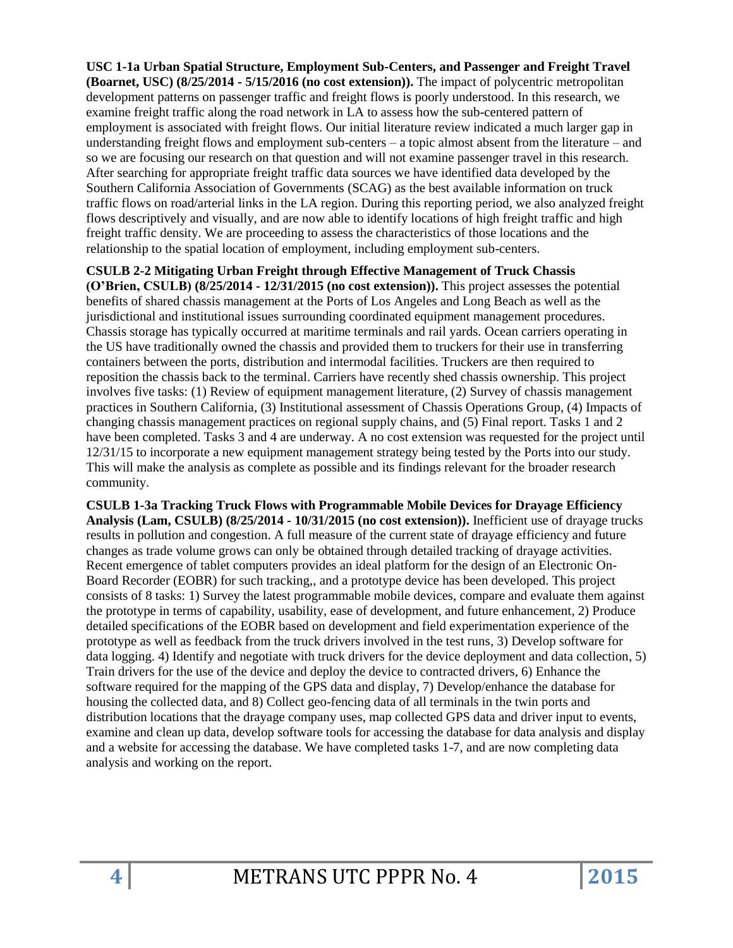**USC 1-1a Urban Spatial Structure, Employment Sub-Centers, and Passenger and Freight Travel (Boarnet, USC) (8/25/2014 - 5/15/2016 (no cost extension)).** The impact of polycentric metropolitan development patterns on passenger traffic and freight flows is poorly understood. In this research, we examine freight traffic along the road network in LA to assess how the sub-centered pattern of employment is associated with freight flows. Our initial literature review indicated a much larger gap in understanding freight flows and employment sub-centers – a topic almost absent from the literature – and so we are focusing our research on that question and will not examine passenger travel in this research. After searching for appropriate freight traffic data sources we have identified data developed by the Southern California Association of Governments (SCAG) as the best available information on truck traffic flows on road/arterial links in the LA region. During this reporting period, we also analyzed freight flows descriptively and visually, and are now able to identify locations of high freight traffic and high freight traffic density. We are proceeding to assess the characteristics of those locations and the relationship to the spatial location of employment, including employment sub-centers.

**CSULB 2-2 Mitigating Urban Freight through Effective Management of Truck Chassis (O'Brien, CSULB) (8/25/2014 - 12/31/2015 (no cost extension)).** This project assesses the potential benefits of shared chassis management at the Ports of Los Angeles and Long Beach as well as the jurisdictional and institutional issues surrounding coordinated equipment management procedures. Chassis storage has typically occurred at maritime terminals and rail yards. Ocean carriers operating in the US have traditionally owned the chassis and provided them to truckers for their use in transferring containers between the ports, distribution and intermodal facilities. Truckers are then required to reposition the chassis back to the terminal. Carriers have recently shed chassis ownership. This project involves five tasks: (1) Review of equipment management literature, (2) Survey of chassis management practices in Southern California, (3) Institutional assessment of Chassis Operations Group, (4) Impacts of changing chassis management practices on regional supply chains, and (5) Final report. Tasks 1 and 2 have been completed. Tasks 3 and 4 are underway. A no cost extension was requested for the project until 12/31/15 to incorporate a new equipment management strategy being tested by the Ports into our study. This will make the analysis as complete as possible and its findings relevant for the broader research community.

**CSULB 1-3a Tracking Truck Flows with Programmable Mobile Devices for Drayage Efficiency Analysis (Lam, CSULB) (8/25/2014 - 10/31/2015 (no cost extension)).** Inefficient use of drayage trucks results in pollution and congestion. A full measure of the current state of drayage efficiency and future changes as trade volume grows can only be obtained through detailed tracking of drayage activities. Recent emergence of tablet computers provides an ideal platform for the design of an Electronic On-Board Recorder (EOBR) for such tracking,, and a prototype device has been developed. This project consists of 8 tasks: 1) Survey the latest programmable mobile devices, compare and evaluate them against the prototype in terms of capability, usability, ease of development, and future enhancement, 2) Produce detailed specifications of the EOBR based on development and field experimentation experience of the prototype as well as feedback from the truck drivers involved in the test runs, 3) Develop software for data logging. 4) Identify and negotiate with truck drivers for the device deployment and data collection, 5) Train drivers for the use of the device and deploy the device to contracted drivers, 6) Enhance the software required for the mapping of the GPS data and display, 7) Develop/enhance the database for housing the collected data, and 8) Collect geo-fencing data of all terminals in the twin ports and distribution locations that the drayage company uses, map collected GPS data and driver input to events, examine and clean up data, develop software tools for accessing the database for data analysis and display and a website for accessing the database. We have completed tasks 1-7, and are now completing data analysis and working on the report.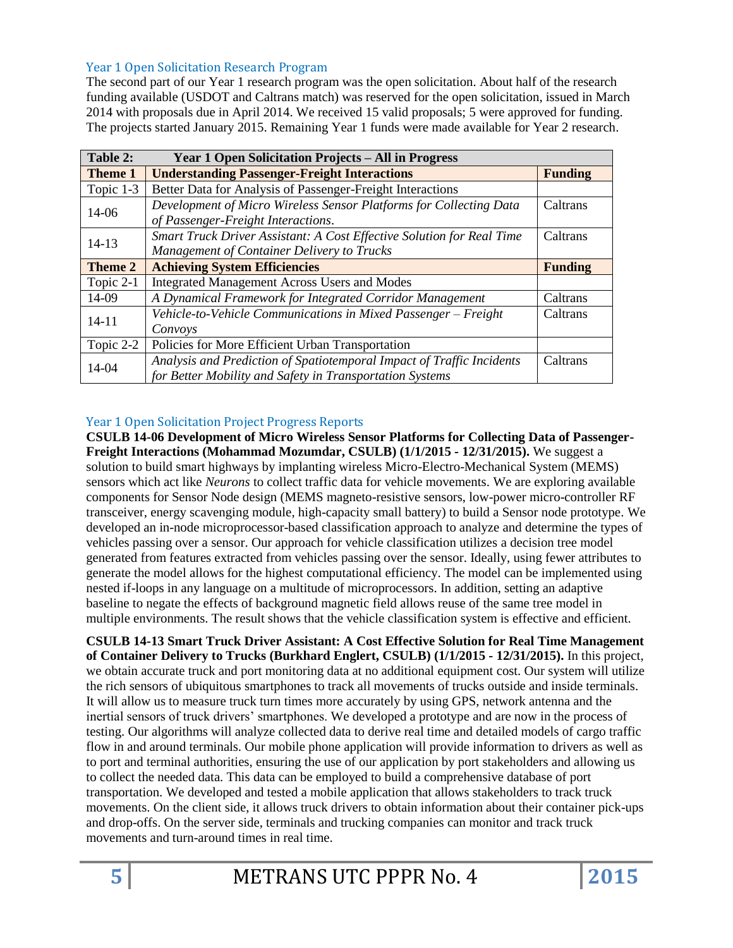#### Year 1 Open Solicitation Research Program

The second part of our Year 1 research program was the open solicitation. About half of the research funding available (USDOT and Caltrans match) was reserved for the open solicitation, issued in March 2014 with proposals due in April 2014. We received 15 valid proposals; 5 were approved for funding. The projects started January 2015. Remaining Year 1 funds were made available for Year 2 research.

| Table 2:       | <b>Year 1 Open Solicitation Projects – All in Progress</b>            |                |
|----------------|-----------------------------------------------------------------------|----------------|
| <b>Theme 1</b> | <b>Understanding Passenger-Freight Interactions</b>                   | <b>Funding</b> |
| Topic 1-3      | Better Data for Analysis of Passenger-Freight Interactions            |                |
| 14-06          | Development of Micro Wireless Sensor Platforms for Collecting Data    | Caltrans       |
|                | of Passenger-Freight Interactions.                                    |                |
| $14 - 13$      | Smart Truck Driver Assistant: A Cost Effective Solution for Real Time | Caltrans       |
|                | <b>Management of Container Delivery to Trucks</b>                     |                |
| Theme 2        | <b>Achieving System Efficiencies</b><br><b>Funding</b>                |                |
| Topic 2-1      | <b>Integrated Management Across Users and Modes</b>                   |                |
| 14-09          | A Dynamical Framework for Integrated Corridor Management              | Caltrans       |
| $14 - 11$      | Vehicle-to-Vehicle Communications in Mixed Passenger - Freight        | Caltrans       |
|                | Convoys                                                               |                |
| Topic 2-2      | Policies for More Efficient Urban Transportation                      |                |
| 14-04          | Analysis and Prediction of Spatiotemporal Impact of Traffic Incidents | Caltrans       |
|                | for Better Mobility and Safety in Transportation Systems              |                |

#### Year 1 Open Solicitation Project Progress Reports

**CSULB 14-06 Development of Micro Wireless Sensor Platforms for Collecting Data of Passenger-Freight Interactions (Mohammad Mozumdar, CSULB) (1/1/2015 - 12/31/2015).** We suggest a solution to build smart highways by implanting wireless Micro-Electro-Mechanical System (MEMS) sensors which act like *Neurons* to collect traffic data for vehicle movements. We are exploring available components for Sensor Node design (MEMS magneto-resistive sensors, low-power micro-controller RF transceiver, energy scavenging module, high-capacity small battery) to build a Sensor node prototype. We developed an in-node microprocessor-based classification approach to analyze and determine the types of vehicles passing over a sensor. Our approach for vehicle classification utilizes a decision tree model generated from features extracted from vehicles passing over the sensor. Ideally, using fewer attributes to generate the model allows for the highest computational efficiency. The model can be implemented using nested if-loops in any language on a multitude of microprocessors. In addition, setting an adaptive baseline to negate the effects of background magnetic field allows reuse of the same tree model in multiple environments. The result shows that the vehicle classification system is effective and efficient.

**CSULB 14-13 Smart Truck Driver Assistant: A Cost Effective Solution for Real Time Management of Container Delivery to Trucks (Burkhard Englert, CSULB) (1/1/2015 - 12/31/2015).** In this project, we obtain accurate truck and port monitoring data at no additional equipment cost. Our system will utilize the rich sensors of ubiquitous smartphones to track all movements of trucks outside and inside terminals. It will allow us to measure truck turn times more accurately by using GPS, network antenna and the inertial sensors of truck drivers' smartphones. We developed a prototype and are now in the process of testing. Our algorithms will analyze collected data to derive real time and detailed models of cargo traffic flow in and around terminals. Our mobile phone application will provide information to drivers as well as to port and terminal authorities, ensuring the use of our application by port stakeholders and allowing us to collect the needed data. This data can be employed to build a comprehensive database of port transportation. We developed and tested a mobile application that allows stakeholders to track truck movements. On the client side, it allows truck drivers to obtain information about their container pick-ups and drop-offs. On the server side, terminals and trucking companies can monitor and track truck movements and turn-around times in real time.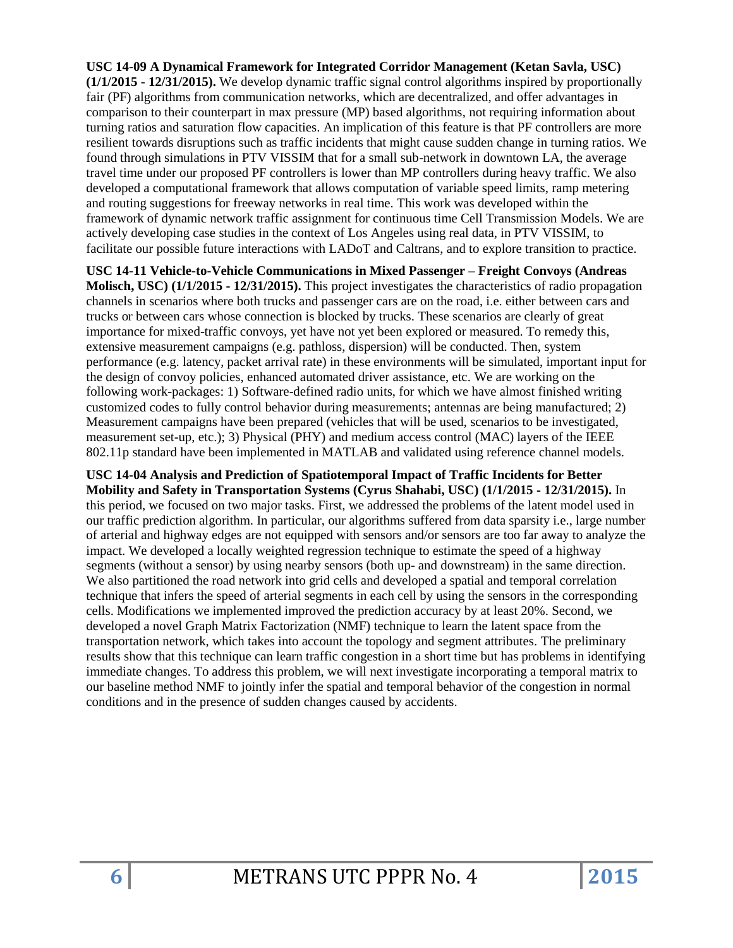**USC 14-09 A Dynamical Framework for Integrated Corridor Management (Ketan Savla, USC) (1/1/2015 - 12/31/2015).** We develop dynamic traffic signal control algorithms inspired by proportionally fair (PF) algorithms from communication networks, which are decentralized, and offer advantages in comparison to their counterpart in max pressure (MP) based algorithms, not requiring information about turning ratios and saturation flow capacities. An implication of this feature is that PF controllers are more resilient towards disruptions such as traffic incidents that might cause sudden change in turning ratios. We found through simulations in PTV VISSIM that for a small sub-network in downtown LA, the average travel time under our proposed PF controllers is lower than MP controllers during heavy traffic. We also developed a computational framework that allows computation of variable speed limits, ramp metering and routing suggestions for freeway networks in real time. This work was developed within the framework of dynamic network traffic assignment for continuous time Cell Transmission Models. We are actively developing case studies in the context of Los Angeles using real data, in PTV VISSIM, to facilitate our possible future interactions with LADoT and Caltrans, and to explore transition to practice.

**USC 14-11 Vehicle-to-Vehicle Communications in Mixed Passenger – Freight Convoys (Andreas Molisch, USC) (1/1/2015 - 12/31/2015).** This project investigates the characteristics of radio propagation channels in scenarios where both trucks and passenger cars are on the road, i.e. either between cars and trucks or between cars whose connection is blocked by trucks. These scenarios are clearly of great importance for mixed-traffic convoys, yet have not yet been explored or measured. To remedy this, extensive measurement campaigns (e.g. pathloss, dispersion) will be conducted. Then, system performance (e.g. latency, packet arrival rate) in these environments will be simulated, important input for the design of convoy policies, enhanced automated driver assistance, etc. We are working on the following work-packages: 1) Software-defined radio units, for which we have almost finished writing customized codes to fully control behavior during measurements; antennas are being manufactured; 2) Measurement campaigns have been prepared (vehicles that will be used, scenarios to be investigated, measurement set-up, etc.); 3) Physical (PHY) and medium access control (MAC) layers of the IEEE 802.11p standard have been implemented in MATLAB and validated using reference channel models.

**USC 14-04 Analysis and Prediction of Spatiotemporal Impact of Traffic Incidents for Better Mobility and Safety in Transportation Systems (Cyrus Shahabi, USC) (1/1/2015 - 12/31/2015).** In this period, we focused on two major tasks. First, we addressed the problems of the latent model used in our traffic prediction algorithm. In particular, our algorithms suffered from data sparsity i.e., large number of arterial and highway edges are not equipped with sensors and/or sensors are too far away to analyze the impact. We developed a locally weighted regression technique to estimate the speed of a highway segments (without a sensor) by using nearby sensors (both up- and downstream) in the same direction. We also partitioned the road network into grid cells and developed a spatial and temporal correlation technique that infers the speed of arterial segments in each cell by using the sensors in the corresponding cells. Modifications we implemented improved the prediction accuracy by at least 20%. Second, we developed a novel Graph Matrix Factorization (NMF) technique to learn the latent space from the transportation network, which takes into account the topology and segment attributes. The preliminary results show that this technique can learn traffic congestion in a short time but has problems in identifying immediate changes. To address this problem, we will next investigate incorporating a temporal matrix to our baseline method NMF to jointly infer the spatial and temporal behavior of the congestion in normal conditions and in the presence of sudden changes caused by accidents.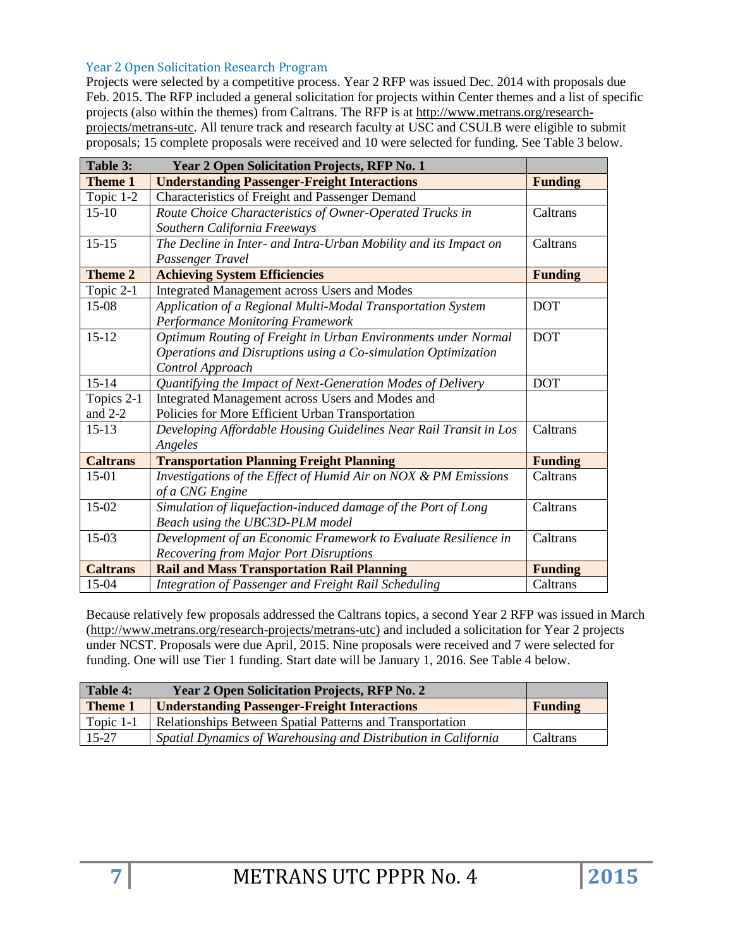#### Year 2 Open Solicitation Research Program

Projects were selected by a competitive process. Year 2 RFP was issued Dec. 2014 with proposals due Feb. 2015. The RFP included a general solicitation for projects within Center themes and a list of specific projects (also within the themes) from Caltrans. The RFP is at [http://www.metrans.org/research](http://www.metrans.org/research-projects/metrans-utc)[projects/metrans-utc.](http://www.metrans.org/research-projects/metrans-utc) All tenure track and research faculty at USC and CSULB were eligible to submit proposals; 15 complete proposals were received and 10 were selected for funding. See Table 3 below.

| Table 3:        | <b>Year 2 Open Solicitation Projects, RFP No. 1</b>                           |                |
|-----------------|-------------------------------------------------------------------------------|----------------|
| Theme 1         | <b>Understanding Passenger-Freight Interactions</b>                           | <b>Funding</b> |
| Topic 1-2       | Characteristics of Freight and Passenger Demand                               |                |
| $15 - 10$       | Route Choice Characteristics of Owner-Operated Trucks in                      | Caltrans       |
|                 | Southern California Freeways                                                  |                |
| $15 - 15$       | The Decline in Inter- and Intra-Urban Mobility and its Impact on<br>Caltrans  |                |
|                 | Passenger Travel                                                              |                |
| <b>Theme 2</b>  | <b>Achieving System Efficiencies</b>                                          | <b>Funding</b> |
| Topic 2-1       | <b>Integrated Management across Users and Modes</b>                           |                |
| 15-08           | Application of a Regional Multi-Modal Transportation System                   | <b>DOT</b>     |
|                 | <b>Performance Monitoring Framework</b>                                       |                |
| $15 - 12$       | Optimum Routing of Freight in Urban Environments under Normal                 | <b>DOT</b>     |
|                 | Operations and Disruptions using a Co-simulation Optimization                 |                |
|                 | Control Approach                                                              |                |
| $15 - 14$       | Quantifying the Impact of Next-Generation Modes of Delivery                   | <b>DOT</b>     |
| Topics 2-1      | Integrated Management across Users and Modes and                              |                |
| and $2-2$       | Policies for More Efficient Urban Transportation                              |                |
| $15-13$         | Developing Affordable Housing Guidelines Near Rail Transit in Los<br>Caltrans |                |
|                 | Angeles                                                                       |                |
| <b>Caltrans</b> | <b>Transportation Planning Freight Planning</b>                               | <b>Funding</b> |
| $15-01$         | Investigations of the Effect of Humid Air on NOX & PM Emissions               | Caltrans       |
|                 | of a CNG Engine                                                               |                |
| $15-02$         | Simulation of liquefaction-induced damage of the Port of Long                 | Caltrans       |
|                 | Beach using the UBC3D-PLM model                                               |                |
| $15-03$         | Development of an Economic Framework to Evaluate Resilience in                | Caltrans       |
|                 | Recovering from Major Port Disruptions                                        |                |
| <b>Caltrans</b> | <b>Rail and Mass Transportation Rail Planning</b>                             | <b>Funding</b> |
| 15-04           | Integration of Passenger and Freight Rail Scheduling                          | Caltrans       |

Because relatively few proposals addressed the Caltrans topics, a second Year 2 RFP was issued in March [\(http://www.metrans.org/research-projects/metrans-utc\)](http://www.metrans.org/research-projects/metrans-utc) and included a solicitation for Year 2 projects under NCST. Proposals were due April, 2015. Nine proposals were received and 7 were selected for funding. One will use Tier 1 funding. Start date will be January 1, 2016. See Table 4 below.

| Table 4:<br><b>Year 2 Open Solicitation Projects, RFP No. 2</b> |                                                                |                |
|-----------------------------------------------------------------|----------------------------------------------------------------|----------------|
| <b>Theme 1</b>                                                  | <b>Understanding Passenger-Freight Interactions</b>            | <b>Funding</b> |
| Topic $1-1$                                                     | Relationships Between Spatial Patterns and Transportation      |                |
| $15-27$                                                         | Spatial Dynamics of Warehousing and Distribution in California | Caltrans       |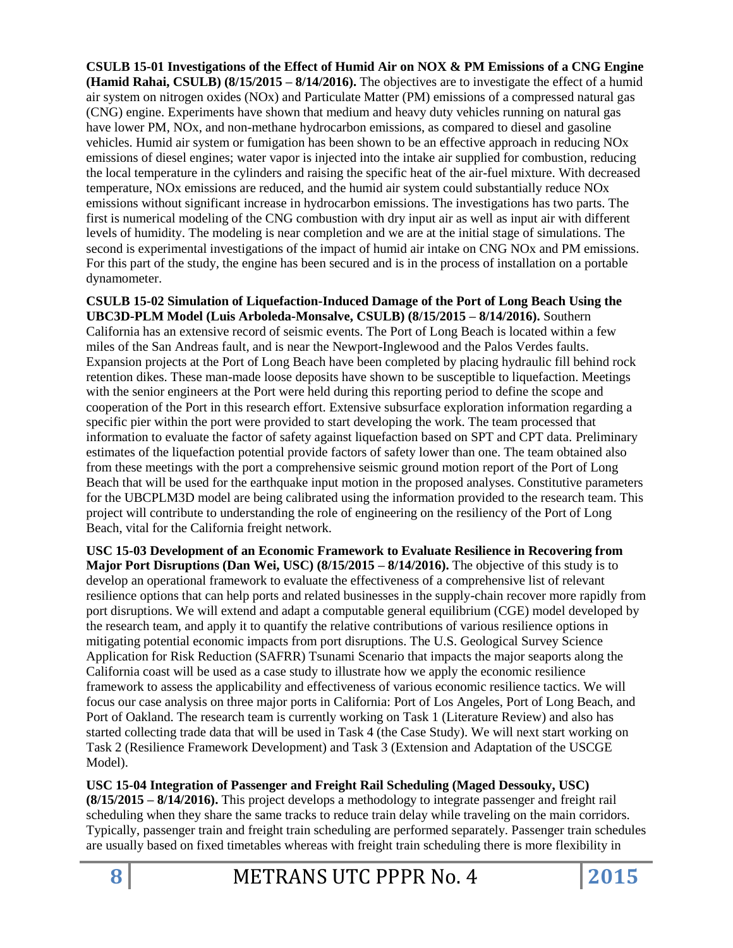**CSULB 15-01 Investigations of the Effect of Humid Air on NOX & PM Emissions of a CNG Engine (Hamid Rahai, CSULB) (8/15/2015 – 8/14/2016).** The objectives are to investigate the effect of a humid air system on nitrogen oxides (NOx) and Particulate Matter (PM) emissions of a compressed natural gas (CNG) engine. Experiments have shown that medium and heavy duty vehicles running on natural gas have lower PM, NOx, and non-methane hydrocarbon emissions, as compared to diesel and gasoline vehicles. Humid air system or fumigation has been shown to be an effective approach in reducing NOx emissions of diesel engines; water vapor is injected into the intake air supplied for combustion, reducing the local temperature in the cylinders and raising the specific heat of the air-fuel mixture. With decreased temperature, NOx emissions are reduced, and the humid air system could substantially reduce NOx emissions without significant increase in hydrocarbon emissions. The investigations has two parts. The first is numerical modeling of the CNG combustion with dry input air as well as input air with different levels of humidity. The modeling is near completion and we are at the initial stage of simulations. The second is experimental investigations of the impact of humid air intake on CNG NOx and PM emissions. For this part of the study, the engine has been secured and is in the process of installation on a portable dynamometer.

**CSULB 15-02 Simulation of Liquefaction-Induced Damage of the Port of Long Beach Using the UBC3D-PLM Model (Luis Arboleda-Monsalve, CSULB) (8/15/2015 – 8/14/2016).** Southern California has an extensive record of seismic events. The Port of Long Beach is located within a few miles of the San Andreas fault, and is near the Newport-Inglewood and the Palos Verdes faults. Expansion projects at the Port of Long Beach have been completed by placing hydraulic fill behind rock retention dikes. These man-made loose deposits have shown to be susceptible to liquefaction. Meetings with the senior engineers at the Port were held during this reporting period to define the scope and cooperation of the Port in this research effort. Extensive subsurface exploration information regarding a specific pier within the port were provided to start developing the work. The team processed that information to evaluate the factor of safety against liquefaction based on SPT and CPT data. Preliminary estimates of the liquefaction potential provide factors of safety lower than one. The team obtained also from these meetings with the port a comprehensive seismic ground motion report of the Port of Long Beach that will be used for the earthquake input motion in the proposed analyses. Constitutive parameters for the UBCPLM3D model are being calibrated using the information provided to the research team. This project will contribute to understanding the role of engineering on the resiliency of the Port of Long Beach, vital for the California freight network.

**USC 15-03 Development of an Economic Framework to Evaluate Resilience in Recovering from Major Port Disruptions (Dan Wei, USC) (8/15/2015 – 8/14/2016).** The objective of this study is to develop an operational framework to evaluate the effectiveness of a comprehensive list of relevant resilience options that can help ports and related businesses in the supply-chain recover more rapidly from port disruptions. We will extend and adapt a computable general equilibrium (CGE) model developed by the research team, and apply it to quantify the relative contributions of various resilience options in mitigating potential economic impacts from port disruptions. The U.S. Geological Survey Science Application for Risk Reduction (SAFRR) Tsunami Scenario that impacts the major seaports along the California coast will be used as a case study to illustrate how we apply the economic resilience framework to assess the applicability and effectiveness of various economic resilience tactics. We will focus our case analysis on three major ports in California: Port of Los Angeles, Port of Long Beach, and Port of Oakland. The research team is currently working on Task 1 (Literature Review) and also has started collecting trade data that will be used in Task 4 (the Case Study). We will next start working on Task 2 (Resilience Framework Development) and Task 3 (Extension and Adaptation of the USCGE Model).

**USC 15-04 Integration of Passenger and Freight Rail Scheduling (Maged Dessouky, USC) (8/15/2015 – 8/14/2016).** This project develops a methodology to integrate passenger and freight rail scheduling when they share the same tracks to reduce train delay while traveling on the main corridors. Typically, passenger train and freight train scheduling are performed separately. Passenger train schedules are usually based on fixed timetables whereas with freight train scheduling there is more flexibility in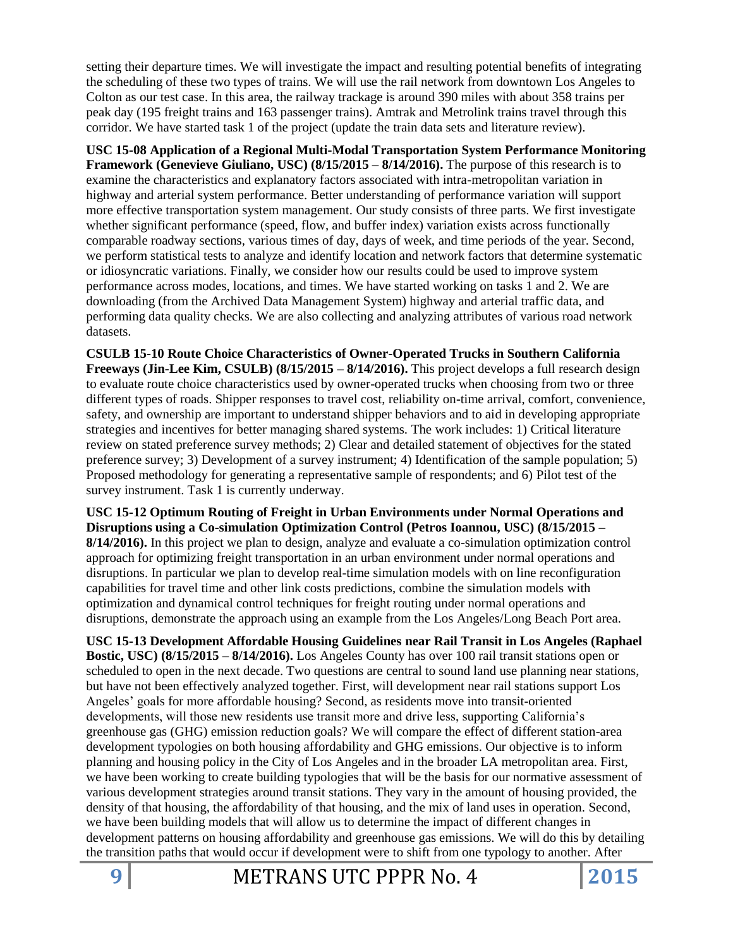setting their departure times. We will investigate the impact and resulting potential benefits of integrating the scheduling of these two types of trains. We will use the rail network from downtown Los Angeles to Colton as our test case. In this area, the railway trackage is around 390 miles with about 358 trains per peak day (195 freight trains and 163 passenger trains). Amtrak and Metrolink trains travel through this corridor. We have started task 1 of the project (update the train data sets and literature review).

**USC 15-08 Application of a Regional Multi-Modal Transportation System Performance Monitoring Framework (Genevieve Giuliano, USC) (8/15/2015 – 8/14/2016).** The purpose of this research is to examine the characteristics and explanatory factors associated with intra-metropolitan variation in highway and arterial system performance. Better understanding of performance variation will support more effective transportation system management. Our study consists of three parts. We first investigate whether significant performance (speed, flow, and buffer index) variation exists across functionally comparable roadway sections, various times of day, days of week, and time periods of the year. Second, we perform statistical tests to analyze and identify location and network factors that determine systematic or idiosyncratic variations. Finally, we consider how our results could be used to improve system performance across modes, locations, and times. We have started working on tasks 1 and 2. We are downloading (from the Archived Data Management System) highway and arterial traffic data, and performing data quality checks. We are also collecting and analyzing attributes of various road network datasets.

**CSULB 15-10 Route Choice Characteristics of Owner-Operated Trucks in Southern California Freeways (Jin-Lee Kim, CSULB) (8/15/2015 – 8/14/2016).** This project develops a full research design to evaluate route choice characteristics used by owner-operated trucks when choosing from two or three different types of roads. Shipper responses to travel cost, reliability on-time arrival, comfort, convenience, safety, and ownership are important to understand shipper behaviors and to aid in developing appropriate strategies and incentives for better managing shared systems. The work includes: 1) Critical literature review on stated preference survey methods; 2) Clear and detailed statement of objectives for the stated preference survey; 3) Development of a survey instrument; 4) Identification of the sample population; 5) Proposed methodology for generating a representative sample of respondents; and 6) Pilot test of the survey instrument. Task 1 is currently underway.

**USC 15-12 Optimum Routing of Freight in Urban Environments under Normal Operations and Disruptions using a Co-simulation Optimization Control (Petros Ioannou, USC) (8/15/2015 – 8/14/2016).** In this project we plan to design, analyze and evaluate a co-simulation optimization control approach for optimizing freight transportation in an urban environment under normal operations and disruptions. In particular we plan to develop real-time simulation models with on line reconfiguration capabilities for travel time and other link costs predictions, combine the simulation models with optimization and dynamical control techniques for freight routing under normal operations and disruptions, demonstrate the approach using an example from the Los Angeles/Long Beach Port area.

**USC 15-13 Development Affordable Housing Guidelines near Rail Transit in Los Angeles (Raphael Bostic, USC) (8/15/2015 – 8/14/2016).** Los Angeles County has over 100 rail transit stations open or scheduled to open in the next decade. Two questions are central to sound land use planning near stations, but have not been effectively analyzed together. First, will development near rail stations support Los Angeles' goals for more affordable housing? Second, as residents move into transit-oriented developments, will those new residents use transit more and drive less, supporting California's greenhouse gas (GHG) emission reduction goals? We will compare the effect of different station-area development typologies on both housing affordability and GHG emissions. Our objective is to inform planning and housing policy in the City of Los Angeles and in the broader LA metropolitan area. First, we have been working to create building typologies that will be the basis for our normative assessment of various development strategies around transit stations. They vary in the amount of housing provided, the density of that housing, the affordability of that housing, and the mix of land uses in operation. Second, we have been building models that will allow us to determine the impact of different changes in development patterns on housing affordability and greenhouse gas emissions. We will do this by detailing the transition paths that would occur if development were to shift from one typology to another. After

**9** METRANS UTC PPPR No. 4 **2015**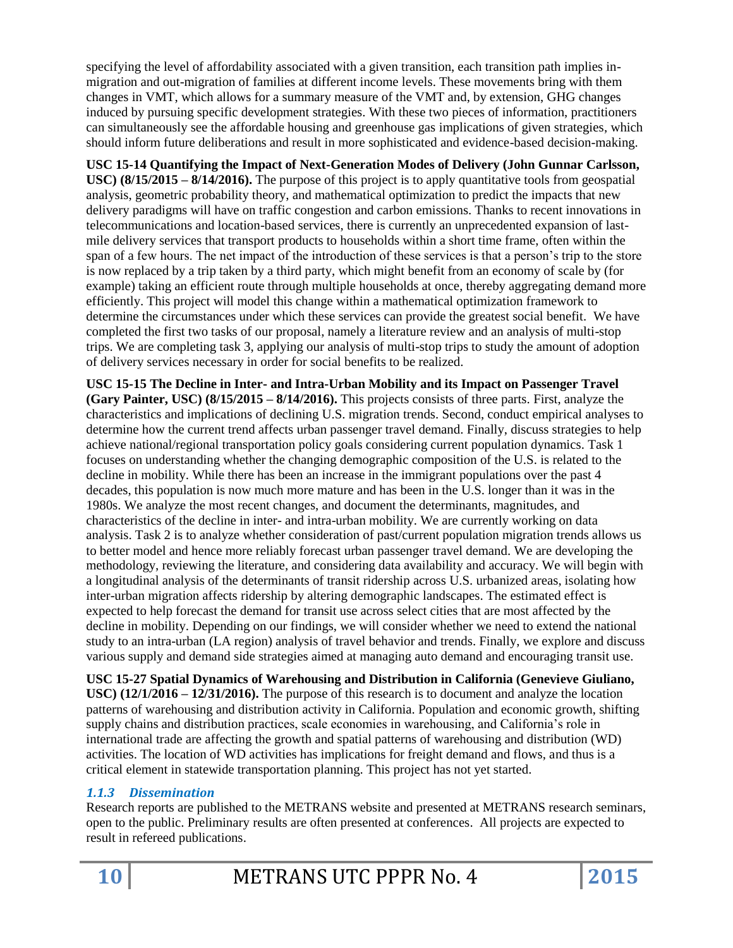specifying the level of affordability associated with a given transition, each transition path implies inmigration and out-migration of families at different income levels. These movements bring with them changes in VMT, which allows for a summary measure of the VMT and, by extension, GHG changes induced by pursuing specific development strategies. With these two pieces of information, practitioners can simultaneously see the affordable housing and greenhouse gas implications of given strategies, which should inform future deliberations and result in more sophisticated and evidence-based decision-making.

**USC 15-14 Quantifying the Impact of Next-Generation Modes of Delivery (John Gunnar Carlsson, USC) (8/15/2015 – 8/14/2016).** The purpose of this project is to apply quantitative tools from geospatial analysis, geometric probability theory, and mathematical optimization to predict the impacts that new delivery paradigms will have on traffic congestion and carbon emissions. Thanks to recent innovations in telecommunications and location-based services, there is currently an unprecedented expansion of lastmile delivery services that transport products to households within a short time frame, often within the span of a few hours. The net impact of the introduction of these services is that a person's trip to the store is now replaced by a trip taken by a third party, which might benefit from an economy of scale by (for example) taking an efficient route through multiple households at once, thereby aggregating demand more efficiently. This project will model this change within a mathematical optimization framework to determine the circumstances under which these services can provide the greatest social benefit. We have completed the first two tasks of our proposal, namely a literature review and an analysis of multi-stop trips. We are completing task 3, applying our analysis of multi-stop trips to study the amount of adoption of delivery services necessary in order for social benefits to be realized.

**USC 15-15 The Decline in Inter- and Intra-Urban Mobility and its Impact on Passenger Travel (Gary Painter, USC) (8/15/2015 – 8/14/2016).** This projects consists of three parts. First, analyze the characteristics and implications of declining U.S. migration trends. Second, conduct empirical analyses to determine how the current trend affects urban passenger travel demand. Finally, discuss strategies to help achieve national/regional transportation policy goals considering current population dynamics. Task 1 focuses on understanding whether the changing demographic composition of the U.S. is related to the decline in mobility. While there has been an increase in the immigrant populations over the past 4 decades, this population is now much more mature and has been in the U.S. longer than it was in the 1980s. We analyze the most recent changes, and document the determinants, magnitudes, and characteristics of the decline in inter- and intra-urban mobility. We are currently working on data analysis. Task 2 is to analyze whether consideration of past/current population migration trends allows us to better model and hence more reliably forecast urban passenger travel demand. We are developing the methodology, reviewing the literature, and considering data availability and accuracy. We will begin with a longitudinal analysis of the determinants of transit ridership across U.S. urbanized areas, isolating how inter-urban migration affects ridership by altering demographic landscapes. The estimated effect is expected to help forecast the demand for transit use across select cities that are most affected by the decline in mobility. Depending on our findings, we will consider whether we need to extend the national study to an intra-urban (LA region) analysis of travel behavior and trends. Finally, we explore and discuss various supply and demand side strategies aimed at managing auto demand and encouraging transit use.

**USC 15-27 Spatial Dynamics of Warehousing and Distribution in California (Genevieve Giuliano, USC) (12/1/2016 – 12/31/2016).** The purpose of this research is to document and analyze the location patterns of warehousing and distribution activity in California. Population and economic growth, shifting supply chains and distribution practices, scale economies in warehousing, and California's role in international trade are affecting the growth and spatial patterns of warehousing and distribution (WD) activities. The location of WD activities has implications for freight demand and flows, and thus is a critical element in statewide transportation planning. This project has not yet started.

## *1.1.3 Dissemination*

Research reports are published to the METRANS website and presented at METRANS research seminars, open to the public. Preliminary results are often presented at conferences. All projects are expected to result in refereed publications.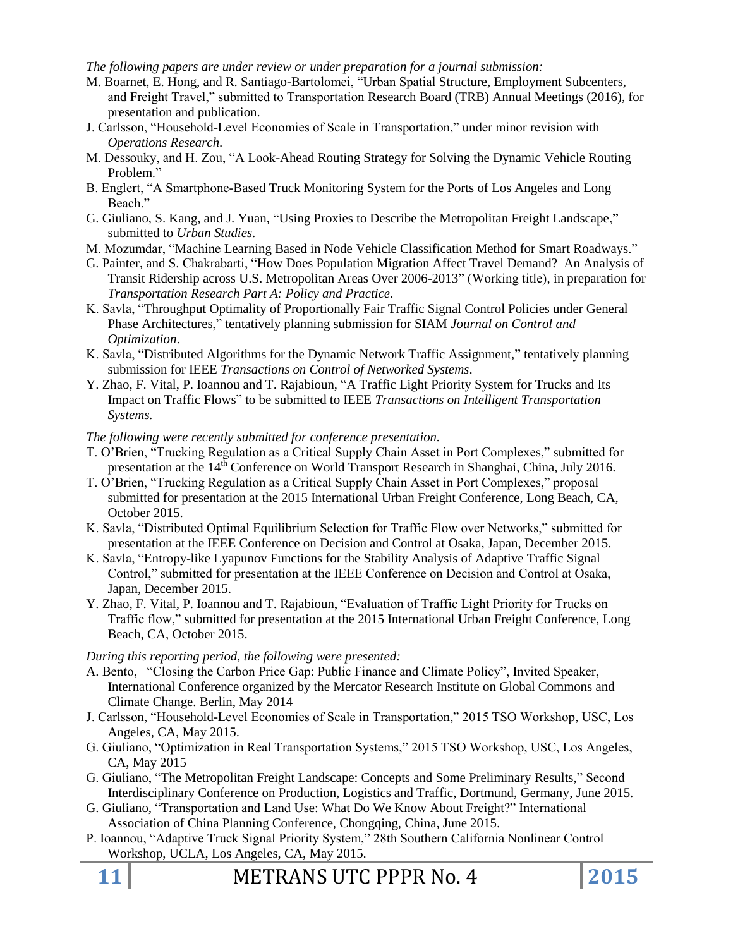*The following papers are under review or under preparation for a journal submission:*

- M. Boarnet, E. Hong, and R. Santiago-Bartolomei, "Urban Spatial Structure, Employment Subcenters, and Freight Travel," submitted to Transportation Research Board (TRB) Annual Meetings (2016), for presentation and publication.
- J. Carlsson, "Household-Level Economies of Scale in Transportation," under minor revision with *Operations Research*.
- M. Dessouky, and H. Zou, "A Look-Ahead Routing Strategy for Solving the Dynamic Vehicle Routing Problem."
- B. Englert, "A Smartphone-Based Truck Monitoring System for the Ports of Los Angeles and Long Beach."
- G. Giuliano, S. Kang, and J. Yuan, "Using Proxies to Describe the Metropolitan Freight Landscape," submitted to *Urban Studies*.
- M. Mozumdar, "Machine Learning Based in Node Vehicle Classification Method for Smart Roadways."
- G. Painter, and S. Chakrabarti, "How Does Population Migration Affect Travel Demand? An Analysis of Transit Ridership across U.S. Metropolitan Areas Over 2006-2013" (Working title), in preparation for *Transportation Research Part A: Policy and Practice*.
- K. Savla, "Throughput Optimality of Proportionally Fair Traffic Signal Control Policies under General Phase Architectures," tentatively planning submission for SIAM *Journal on Control and Optimization*.
- K. Savla, "Distributed Algorithms for the Dynamic Network Traffic Assignment," tentatively planning submission for IEEE *Transactions on Control of Networked Systems*.
- Y. Zhao, F. Vital, P. Ioannou and T. Rajabioun, "A Traffic Light Priority System for Trucks and Its Impact on Traffic Flows" to be submitted to IEEE *Transactions on Intelligent Transportation Systems.*

#### *The following were recently submitted for conference presentation.*

- T. O'Brien, "Trucking Regulation as a Critical Supply Chain Asset in Port Complexes," submitted for presentation at the 14<sup>th</sup> Conference on World Transport Research in Shanghai, China, July 2016.
- T. O'Brien, "Trucking Regulation as a Critical Supply Chain Asset in Port Complexes," proposal submitted for presentation at the 2015 International Urban Freight Conference, Long Beach, CA, October 2015.
- K. Savla, "Distributed Optimal Equilibrium Selection for Traffic Flow over Networks," submitted for presentation at the IEEE Conference on Decision and Control at Osaka, Japan, December 2015.
- K. Savla, "Entropy-like Lyapunov Functions for the Stability Analysis of Adaptive Traffic Signal Control," submitted for presentation at the IEEE Conference on Decision and Control at Osaka, Japan, December 2015.
- Y. Zhao, F. Vital, P. Ioannou and T. Rajabioun, "Evaluation of Traffic Light Priority for Trucks on Traffic flow," submitted for presentation at the 2015 International Urban Freight Conference, Long Beach, CA, October 2015.

#### *During this reporting period, the following were presented:*

- A. Bento, "Closing the Carbon Price Gap: Public Finance and Climate Policy", Invited Speaker, International Conference organized by the Mercator Research Institute on Global Commons and Climate Change. Berlin, May 2014
- J. Carlsson, "Household-Level Economies of Scale in Transportation," 2015 TSO Workshop, USC, Los Angeles, CA, May 2015.
- G. Giuliano, "Optimization in Real Transportation Systems," 2015 TSO Workshop, USC, Los Angeles, CA, May 2015
- G. Giuliano, "The Metropolitan Freight Landscape: Concepts and Some Preliminary Results," Second Interdisciplinary Conference on Production, Logistics and Traffic, Dortmund, Germany, June 2015.
- G. Giuliano, "Transportation and Land Use: What Do We Know About Freight?" International Association of China Planning Conference, Chongqing, China, June 2015.
- P. Ioannou, "Adaptive Truck Signal Priority System," 28th Southern California Nonlinear Control Workshop, UCLA, Los Angeles, CA, May 2015.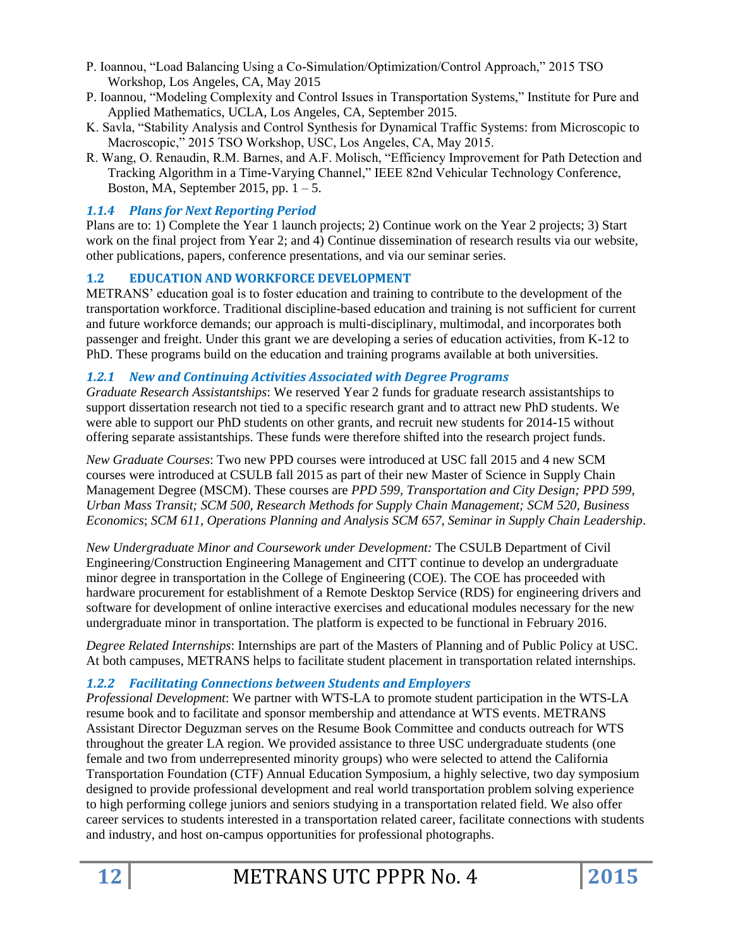- P. Ioannou, "Load Balancing Using a Co-Simulation/Optimization/Control Approach," 2015 TSO Workshop, Los Angeles, CA, May 2015
- P. Ioannou, "Modeling Complexity and Control Issues in Transportation Systems," Institute for Pure and Applied Mathematics, UCLA, Los Angeles, CA, September 2015.
- K. Savla, "Stability Analysis and Control Synthesis for Dynamical Traffic Systems: from Microscopic to Macroscopic," 2015 TSO Workshop, USC, Los Angeles, CA, May 2015.
- R. Wang, O. Renaudin, R.M. Barnes, and A.F. Molisch, "Efficiency Improvement for Path Detection and Tracking Algorithm in a Time-Varying Channel," IEEE 82nd Vehicular Technology Conference, Boston, MA, September 2015, pp.  $1 - 5$ .

### *1.1.4 Plans for Next Reporting Period*

Plans are to: 1) Complete the Year 1 launch projects; 2) Continue work on the Year 2 projects; 3) Start work on the final project from Year 2; and 4) Continue dissemination of research results via our website, other publications, papers, conference presentations, and via our seminar series.

### **1.2 EDUCATION AND WORKFORCE DEVELOPMENT**

METRANS' education goal is to foster education and training to contribute to the development of the transportation workforce. Traditional discipline-based education and training is not sufficient for current and future workforce demands; our approach is multi-disciplinary, multimodal, and incorporates both passenger and freight. Under this grant we are developing a series of education activities, from K-12 to PhD. These programs build on the education and training programs available at both universities.

#### *1.2.1 New and Continuing Activities Associated with Degree Programs*

*Graduate Research Assistantships*: We reserved Year 2 funds for graduate research assistantships to support dissertation research not tied to a specific research grant and to attract new PhD students. We were able to support our PhD students on other grants, and recruit new students for 2014-15 without offering separate assistantships. These funds were therefore shifted into the research project funds.

*New Graduate Courses*: Two new PPD courses were introduced at USC fall 2015 and 4 new SCM courses were introduced at CSULB fall 2015 as part of their new Master of Science in Supply Chain Management Degree (MSCM). These courses are *PPD 599, Transportation and City Design; PPD 599, Urban Mass Transit; SCM 500, Research Methods for Supply Chain Management; SCM 520, Business Economics*; *SCM 611, Operations Planning and Analysis SCM 657, Seminar in Supply Chain Leadership*.

*New Undergraduate Minor and Coursework under Development:* The CSULB Department of Civil Engineering/Construction Engineering Management and CITT continue to develop an undergraduate minor degree in transportation in the College of Engineering (COE). The COE has proceeded with hardware procurement for establishment of a Remote Desktop Service (RDS) for engineering drivers and software for development of online interactive exercises and educational modules necessary for the new undergraduate minor in transportation. The platform is expected to be functional in February 2016.

*Degree Related Internships*: Internships are part of the Masters of Planning and of Public Policy at USC. At both campuses, METRANS helps to facilitate student placement in transportation related internships.

## *1.2.2 Facilitating Connections between Students and Employers*

*Professional Development*: We partner with WTS-LA to promote student participation in the WTS-LA resume book and to facilitate and sponsor membership and attendance at WTS events. METRANS Assistant Director Deguzman serves on the Resume Book Committee and conducts outreach for WTS throughout the greater LA region. We provided assistance to three USC undergraduate students (one female and two from underrepresented minority groups) who were selected to attend the California Transportation Foundation (CTF) Annual Education Symposium, a highly selective, two day symposium designed to provide professional development and real world transportation problem solving experience to high performing college juniors and seniors studying in a transportation related field. We also offer career services to students interested in a transportation related career, facilitate connections with students and industry, and host on-campus opportunities for professional photographs.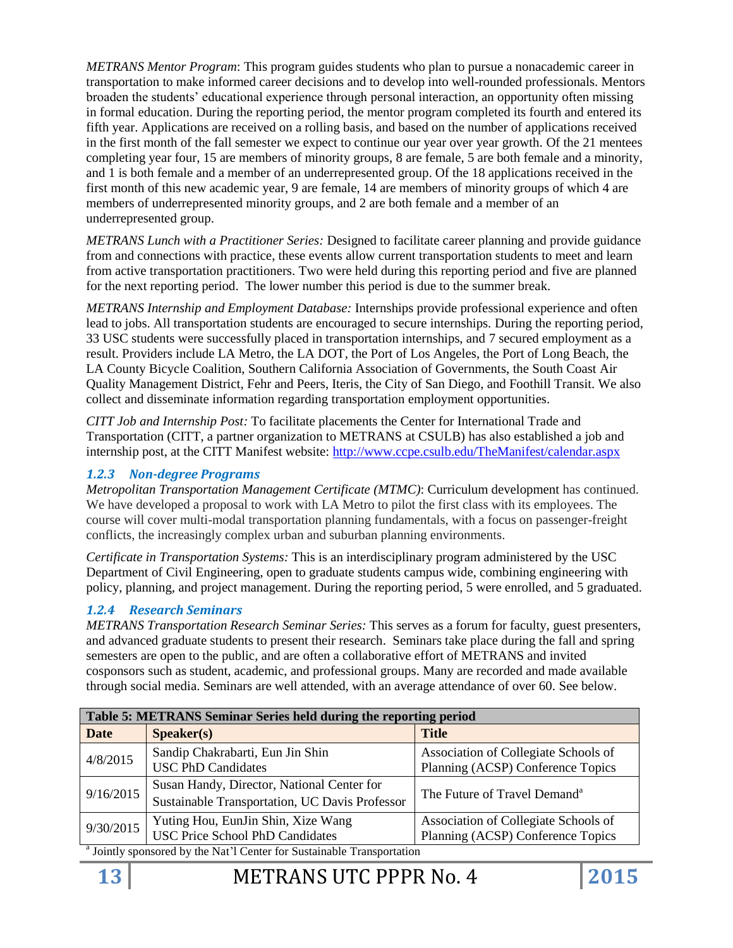*METRANS Mentor Program*: This program guides students who plan to pursue a nonacademic career in transportation to make informed career decisions and to develop into well-rounded professionals. Mentors broaden the students' educational experience through personal interaction, an opportunity often missing in formal education. During the reporting period, the mentor program completed its fourth and entered its fifth year. Applications are received on a rolling basis, and based on the number of applications received in the first month of the fall semester we expect to continue our year over year growth. Of the 21 mentees completing year four, 15 are members of minority groups, 8 are female, 5 are both female and a minority, and 1 is both female and a member of an underrepresented group. Of the 18 applications received in the first month of this new academic year, 9 are female, 14 are members of minority groups of which 4 are members of underrepresented minority groups, and 2 are both female and a member of an underrepresented group.

*METRANS Lunch with a Practitioner Series:* Designed to facilitate career planning and provide guidance from and connections with practice, these events allow current transportation students to meet and learn from active transportation practitioners. Two were held during this reporting period and five are planned for the next reporting period. The lower number this period is due to the summer break.

*METRANS Internship and Employment Database:* Internships provide professional experience and often lead to jobs. All transportation students are encouraged to secure internships. During the reporting period, 33 USC students were successfully placed in transportation internships, and 7 secured employment as a result. Providers include LA Metro, the LA DOT, the Port of Los Angeles, the Port of Long Beach, the LA County Bicycle Coalition, Southern California Association of Governments, the South Coast Air Quality Management District, Fehr and Peers, Iteris, the City of San Diego, and Foothill Transit. We also collect and disseminate information regarding transportation employment opportunities.

*CITT Job and Internship Post:* To facilitate placements the Center for International Trade and Transportation (CITT, a partner organization to METRANS at CSULB) has also established a job and internship post, at the CITT Manifest website:<http://www.ccpe.csulb.edu/TheManifest/calendar.aspx>

### *1.2.3 Non-degree Programs*

*Metropolitan Transportation Management Certificate (MTMC)*: Curriculum development has continued. We have developed a proposal to work with LA Metro to pilot the first class with its employees. The course will cover multi-modal transportation planning fundamentals, with a focus on passenger-freight conflicts, the increasingly complex urban and suburban planning environments.

*Certificate in Transportation Systems:* This is an interdisciplinary program administered by the USC Department of Civil Engineering, open to graduate students campus wide, combining engineering with policy, planning, and project management. During the reporting period, 5 were enrolled, and 5 graduated.

## *1.2.4 Research Seminars*

*METRANS Transportation Research Seminar Series:* This serves as a forum for faculty, guest presenters, and advanced graduate students to present their research. Seminars take place during the fall and spring semesters are open to the public, and are often a collaborative effort of METRANS and invited cosponsors such as student, academic, and professional groups. Many are recorded and made available through social media. Seminars are well attended, with an average attendance of over 60. See below.

| Table 5: METRANS Seminar Series held during the reporting period                  |                                                |                                          |  |
|-----------------------------------------------------------------------------------|------------------------------------------------|------------------------------------------|--|
| <b>Date</b>                                                                       | S <sub>p</sub> e <sub>aker(s)</sub>            | <b>Title</b>                             |  |
| 4/8/2015                                                                          | Sandip Chakrabarti, Eun Jin Shin               | Association of Collegiate Schools of     |  |
|                                                                                   | <b>USC PhD Candidates</b>                      | Planning (ACSP) Conference Topics        |  |
| 9/16/2015                                                                         | Susan Handy, Director, National Center for     | The Future of Travel Demand <sup>a</sup> |  |
|                                                                                   | Sustainable Transportation, UC Davis Professor |                                          |  |
| 9/30/2015                                                                         | Yuting Hou, EunJin Shin, Xize Wang             | Association of Collegiate Schools of     |  |
|                                                                                   | <b>USC Price School PhD Candidates</b>         | Planning (ACSP) Conference Topics        |  |
| <sup>a</sup> Jointly sponsored by the Nat'l Center for Sustainable Transportation |                                                |                                          |  |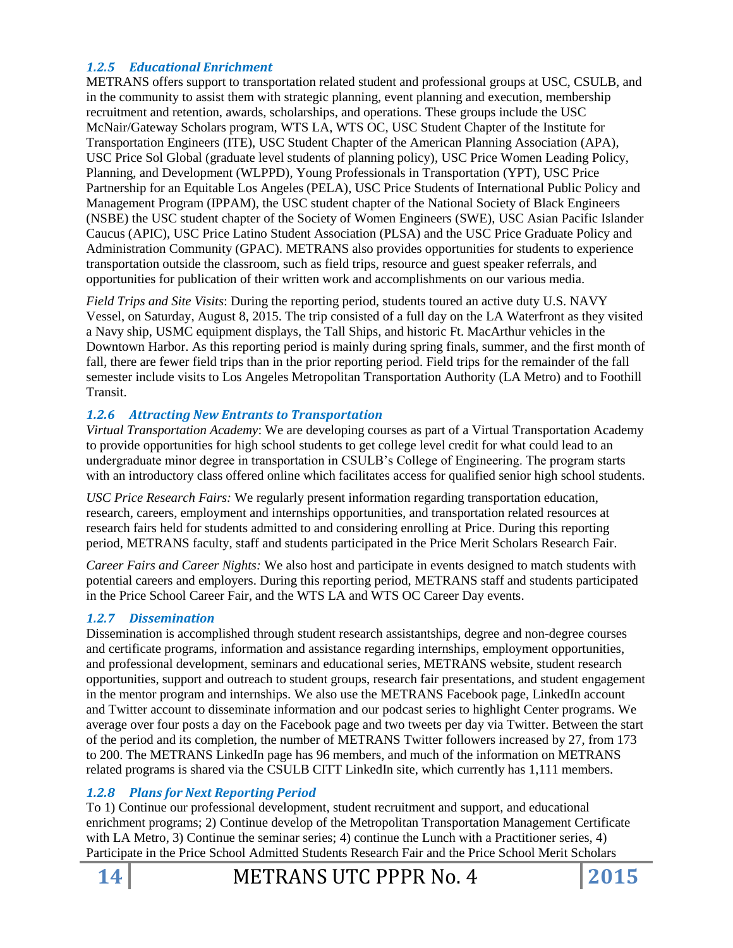### *1.2.5 Educational Enrichment*

METRANS offers support to transportation related student and professional groups at USC, CSULB, and in the community to assist them with strategic planning, event planning and execution, membership recruitment and retention, awards, scholarships, and operations. These groups include the USC McNair/Gateway Scholars program, WTS LA, WTS OC, USC Student Chapter of the Institute for Transportation Engineers (ITE), USC Student Chapter of the American Planning Association (APA), USC Price Sol Global (graduate level students of planning policy), USC Price Women Leading Policy, Planning, and Development (WLPPD), Young Professionals in Transportation (YPT), USC Price Partnership for an Equitable Los Angeles (PELA), USC Price Students of International Public Policy and Management Program (IPPAM), the USC student chapter of the National Society of Black Engineers (NSBE) the USC student chapter of the Society of Women Engineers (SWE), USC Asian Pacific Islander Caucus (APIC), USC Price Latino Student Association (PLSA) and the USC Price Graduate Policy and Administration Community (GPAC). METRANS also provides opportunities for students to experience transportation outside the classroom, such as field trips, resource and guest speaker referrals, and opportunities for publication of their written work and accomplishments on our various media.

*Field Trips and Site Visits*: During the reporting period, students toured an active duty U.S. NAVY Vessel, on Saturday, August 8, 2015. The trip consisted of a full day on the LA Waterfront as they visited a Navy ship, USMC equipment displays, the Tall Ships, and historic Ft. MacArthur vehicles in the Downtown Harbor. As this reporting period is mainly during spring finals, summer, and the first month of fall, there are fewer field trips than in the prior reporting period. Field trips for the remainder of the fall semester include visits to Los Angeles Metropolitan Transportation Authority (LA Metro) and to Foothill Transit.

#### *1.2.6 Attracting New Entrants to Transportation*

*Virtual Transportation Academy*: We are developing courses as part of a Virtual Transportation Academy to provide opportunities for high school students to get college level credit for what could lead to an undergraduate minor degree in transportation in CSULB's College of Engineering. The program starts with an introductory class offered online which facilitates access for qualified senior high school students.

*USC Price Research Fairs:* We regularly present information regarding transportation education, research, careers, employment and internships opportunities, and transportation related resources at research fairs held for students admitted to and considering enrolling at Price. During this reporting period, METRANS faculty, staff and students participated in the Price Merit Scholars Research Fair.

*Career Fairs and Career Nights:* We also host and participate in events designed to match students with potential careers and employers. During this reporting period, METRANS staff and students participated in the Price School Career Fair, and the WTS LA and WTS OC Career Day events.

## *1.2.7 Dissemination*

Dissemination is accomplished through student research assistantships, degree and non-degree courses and certificate programs, information and assistance regarding internships, employment opportunities, and professional development, seminars and educational series, METRANS website, student research opportunities, support and outreach to student groups, research fair presentations, and student engagement in the mentor program and internships. We also use the METRANS Facebook page, LinkedIn account and Twitter account to disseminate information and our podcast series to highlight Center programs. We average over four posts a day on the Facebook page and two tweets per day via Twitter. Between the start of the period and its completion, the number of METRANS Twitter followers increased by 27, from 173 to 200. The METRANS LinkedIn page has 96 members, and much of the information on METRANS related programs is shared via the CSULB CITT LinkedIn site, which currently has 1,111 members.

## *1.2.8 Plans for Next Reporting Period*

To 1) Continue our professional development, student recruitment and support, and educational enrichment programs; 2) Continue develop of the Metropolitan Transportation Management Certificate with LA Metro, 3) Continue the seminar series; 4) continue the Lunch with a Practitioner series, 4) Participate in the Price School Admitted Students Research Fair and the Price School Merit Scholars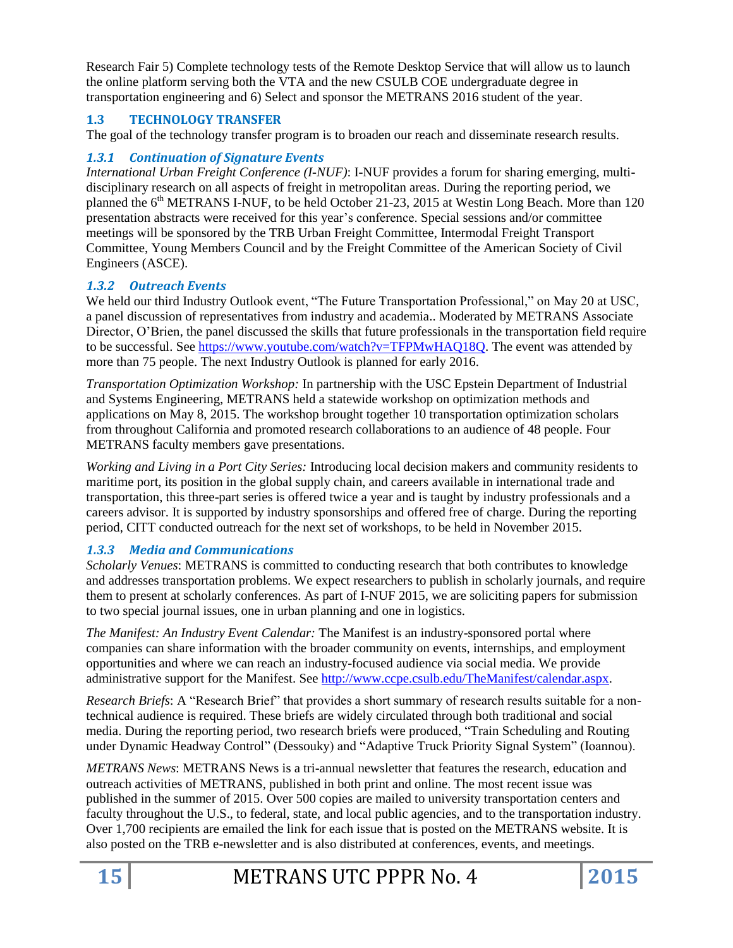Research Fair 5) Complete technology tests of the Remote Desktop Service that will allow us to launch the online platform serving both the VTA and the new CSULB COE undergraduate degree in transportation engineering and 6) Select and sponsor the METRANS 2016 student of the year.

## **1.3 TECHNOLOGY TRANSFER**

The goal of the technology transfer program is to broaden our reach and disseminate research results.

## *1.3.1 Continuation of Signature Events*

*International Urban Freight Conference (I-NUF)*: I-NUF provides a forum for sharing emerging, multidisciplinary research on all aspects of freight in metropolitan areas. During the reporting period, we planned the  $6<sup>th</sup>$  METRANS I-NUF, to be held October 21-23, 2015 at Westin Long Beach. More than 120 presentation abstracts were received for this year's conference. Special sessions and/or committee meetings will be sponsored by the TRB Urban Freight Committee, Intermodal Freight Transport Committee, Young Members Council and by the Freight Committee of the American Society of Civil Engineers (ASCE).

## *1.3.2 Outreach Events*

We held our third Industry Outlook event, "The Future Transportation Professional," on May 20 at USC, a panel discussion of representatives from industry and academia.. Moderated by METRANS Associate Director, O'Brien, the panel discussed the skills that future professionals in the transportation field require to be successful. See [https://www.youtube.com/watch?v=TFPMwHAQ18Q.](https://www.youtube.com/watch?v=TFPMwHAQ18Q) The event was attended by more than 75 people. The next Industry Outlook is planned for early 2016.

*Transportation Optimization Workshop:* In partnership with the USC Epstein Department of Industrial and Systems Engineering, METRANS held a statewide workshop on optimization methods and applications on May 8, 2015. The workshop brought together 10 transportation optimization scholars from throughout California and promoted research collaborations to an audience of 48 people. Four METRANS faculty members gave presentations.

*Working and Living in a Port City Series:* Introducing local decision makers and community residents to maritime port, its position in the global supply chain, and careers available in international trade and transportation, this three-part series is offered twice a year and is taught by industry professionals and a careers advisor. It is supported by industry sponsorships and offered free of charge. During the reporting period, CITT conducted outreach for the next set of workshops, to be held in November 2015.

## *1.3.3 Media and Communications*

*Scholarly Venues*: METRANS is committed to conducting research that both contributes to knowledge and addresses transportation problems. We expect researchers to publish in scholarly journals, and require them to present at scholarly conferences. As part of I-NUF 2015, we are soliciting papers for submission to two special journal issues, one in urban planning and one in logistics.

*The Manifest: An Industry Event Calendar:* The Manifest is an industry-sponsored portal where companies can share information with the broader community on events, internships, and employment opportunities and where we can reach an industry-focused audience via social media. We provide administrative support for the Manifest. See [http://www.ccpe.csulb.edu/TheManifest/calendar.aspx.](http://www.ccpe.csulb.edu/TheManifest/calendar.aspx)

*Research Briefs*: A "Research Brief" that provides a short summary of research results suitable for a nontechnical audience is required. These briefs are widely circulated through both traditional and social media. During the reporting period, two research briefs were produced, "Train Scheduling and Routing under Dynamic Headway Control" (Dessouky) and "Adaptive Truck Priority Signal System" (Ioannou).

*METRANS News*: METRANS News is a tri-annual newsletter that features the research, education and outreach activities of METRANS, published in both print and online. The most recent issue was published in the summer of 2015. Over 500 copies are mailed to university transportation centers and faculty throughout the U.S., to federal, state, and local public agencies, and to the transportation industry. Over 1,700 recipients are emailed the link for each issue that is posted on the METRANS website. It is also posted on the TRB e-newsletter and is also distributed at conferences, events, and meetings.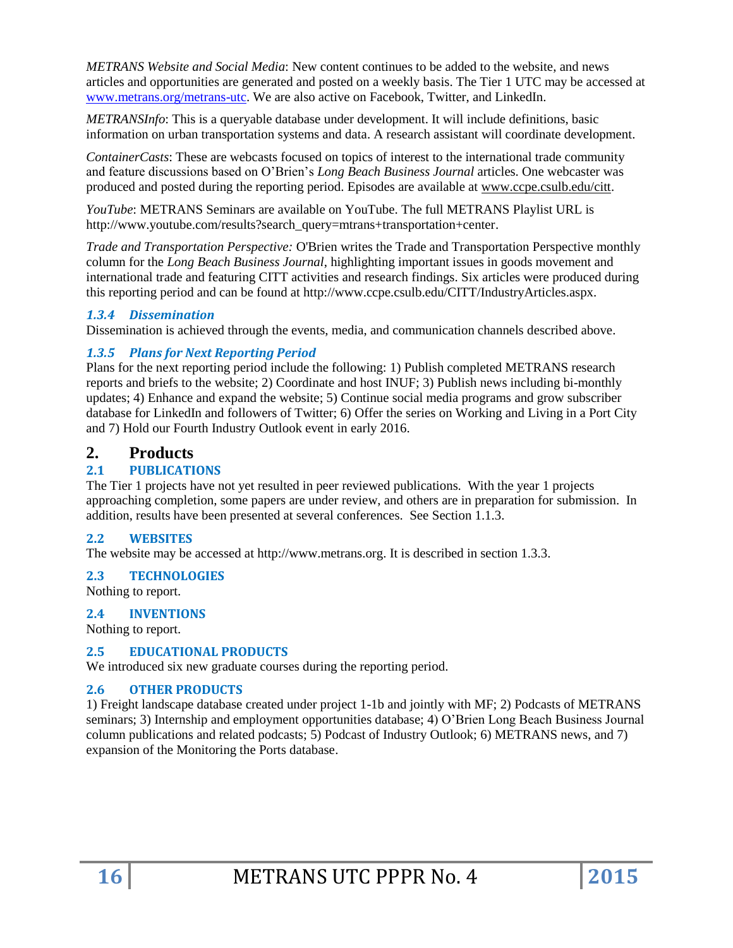*METRANS Website and Social Media*: New content continues to be added to the website, and news articles and opportunities are generated and posted on a weekly basis. The Tier 1 UTC may be accessed at [www.metrans.org/metrans-utc.](http://www.metrans.org/metrans-utc) We are also active on Facebook, Twitter, and LinkedIn.

*METRANSInfo*: This is a queryable database under development. It will include definitions, basic information on urban transportation systems and data. A research assistant will coordinate development.

*ContainerCasts*: These are webcasts focused on topics of interest to the international trade community and feature discussions based on O'Brien's *Long Beach Business Journal* articles. One webcaster was produced and posted during the reporting period. Episodes are available at [www.ccpe.csulb.edu/citt.](http://www.ccpe.csulb.edu/citt)

*YouTube*: METRANS Seminars are available on YouTube. The full METRANS Playlist URL is http://www.youtube.com/results?search\_query=mtrans+transportation+center.

*Trade and Transportation Perspective:* O'Brien writes the Trade and Transportation Perspective monthly column for the *Long Beach Business Journal*, highlighting important issues in goods movement and international trade and featuring CITT activities and research findings. Six articles were produced during this reporting period and can be found at http://www.ccpe.csulb.edu/CITT/IndustryArticles.aspx.

#### *1.3.4 Dissemination*

Dissemination is achieved through the events, media, and communication channels described above.

#### *1.3.5 Plans for Next Reporting Period*

Plans for the next reporting period include the following: 1) Publish completed METRANS research reports and briefs to the website; 2) Coordinate and host INUF; 3) Publish news including bi-monthly updates; 4) Enhance and expand the website; 5) Continue social media programs and grow subscriber database for LinkedIn and followers of Twitter; 6) Offer the series on Working and Living in a Port City and 7) Hold our Fourth Industry Outlook event in early 2016.

## **2. Products**

#### **2.1 PUBLICATIONS**

The Tier 1 projects have not yet resulted in peer reviewed publications. With the year 1 projects approaching completion, some papers are under review, and others are in preparation for submission. In addition, results have been presented at several conferences. See Section 1.1.3.

#### **2.2 WEBSITES**

The website may be accessed at http://www.metrans.org. It is described in section 1.3.3.

#### **2.3 TECHNOLOGIES**

Nothing to report.

#### **2.4 INVENTIONS**

Nothing to report.

#### **2.5 EDUCATIONAL PRODUCTS**

We introduced six new graduate courses during the reporting period.

#### **2.6 OTHER PRODUCTS**

1) Freight landscape database created under project 1-1b and jointly with MF; 2) Podcasts of METRANS seminars; 3) Internship and employment opportunities database; 4) O'Brien Long Beach Business Journal column publications and related podcasts; 5) Podcast of Industry Outlook; 6) METRANS news, and 7) expansion of the Monitoring the Ports database.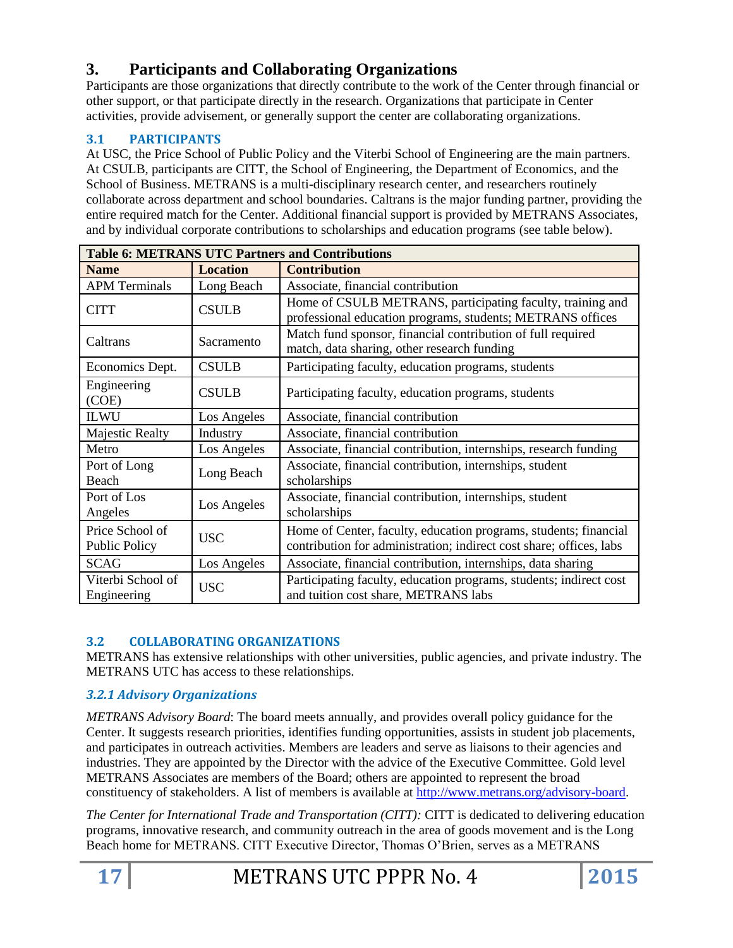# **3. Participants and Collaborating Organizations**

Participants are those organizations that directly contribute to the work of the Center through financial or other support, or that participate directly in the research. Organizations that participate in Center activities, provide advisement, or generally support the center are collaborating organizations.

## **3.1 PARTICIPANTS**

At USC, the Price School of Public Policy and the Viterbi School of Engineering are the main partners. At CSULB, participants are CITT, the School of Engineering, the Department of Economics, and the School of Business. METRANS is a multi-disciplinary research center, and researchers routinely collaborate across department and school boundaries. Caltrans is the major funding partner, providing the entire required match for the Center. Additional financial support is provided by METRANS Associates, and by individual corporate contributions to scholarships and education programs (see table below).

| <b>Table 6: METRANS UTC Partners and Contributions</b> |                 |                                                                                                                                         |
|--------------------------------------------------------|-----------------|-----------------------------------------------------------------------------------------------------------------------------------------|
| <b>Name</b>                                            | <b>Location</b> | <b>Contribution</b>                                                                                                                     |
| <b>APM Terminals</b>                                   | Long Beach      | Associate, financial contribution                                                                                                       |
| <b>CITT</b>                                            | <b>CSULB</b>    | Home of CSULB METRANS, participating faculty, training and<br>professional education programs, students; METRANS offices                |
| Caltrans                                               | Sacramento      | Match fund sponsor, financial contribution of full required<br>match, data sharing, other research funding                              |
| Economics Dept.                                        | <b>CSULB</b>    | Participating faculty, education programs, students                                                                                     |
| Engineering<br>(COE)                                   | <b>CSULB</b>    | Participating faculty, education programs, students                                                                                     |
| <b>ILWU</b>                                            | Los Angeles     | Associate, financial contribution                                                                                                       |
| Majestic Realty                                        | Industry        | Associate, financial contribution                                                                                                       |
| Metro                                                  | Los Angeles     | Associate, financial contribution, internships, research funding                                                                        |
| Port of Long<br>Beach                                  | Long Beach      | Associate, financial contribution, internships, student<br>scholarships                                                                 |
| Port of Los<br>Angeles                                 | Los Angeles     | Associate, financial contribution, internships, student<br>scholarships                                                                 |
| Price School of<br>Public Policy                       | <b>USC</b>      | Home of Center, faculty, education programs, students; financial<br>contribution for administration; indirect cost share; offices, labs |
| <b>SCAG</b>                                            | Los Angeles     | Associate, financial contribution, internships, data sharing                                                                            |
| Viterbi School of<br>Engineering                       | <b>USC</b>      | Participating faculty, education programs, students; indirect cost<br>and tuition cost share, METRANS labs                              |

## **3.2 COLLABORATING ORGANIZATIONS**

METRANS has extensive relationships with other universities, public agencies, and private industry. The METRANS UTC has access to these relationships.

## *3.2.1 Advisory Organizations*

*METRANS Advisory Board*: The board meets annually, and provides overall policy guidance for the Center. It suggests research priorities, identifies funding opportunities, assists in student job placements, and participates in outreach activities. Members are leaders and serve as liaisons to their agencies and industries. They are appointed by the Director with the advice of the Executive Committee. Gold level METRANS Associates are members of the Board; others are appointed to represent the broad constituency of stakeholders. A list of members is available at [http://www.metrans.org/advisory-board.](http://www.metrans.org/advisory-board)

*The Center for International Trade and Transportation (CITT):* CITT is dedicated to delivering education programs, innovative research, and community outreach in the area of goods movement and is the Long Beach home for METRANS. CITT Executive Director, Thomas O'Brien, serves as a METRANS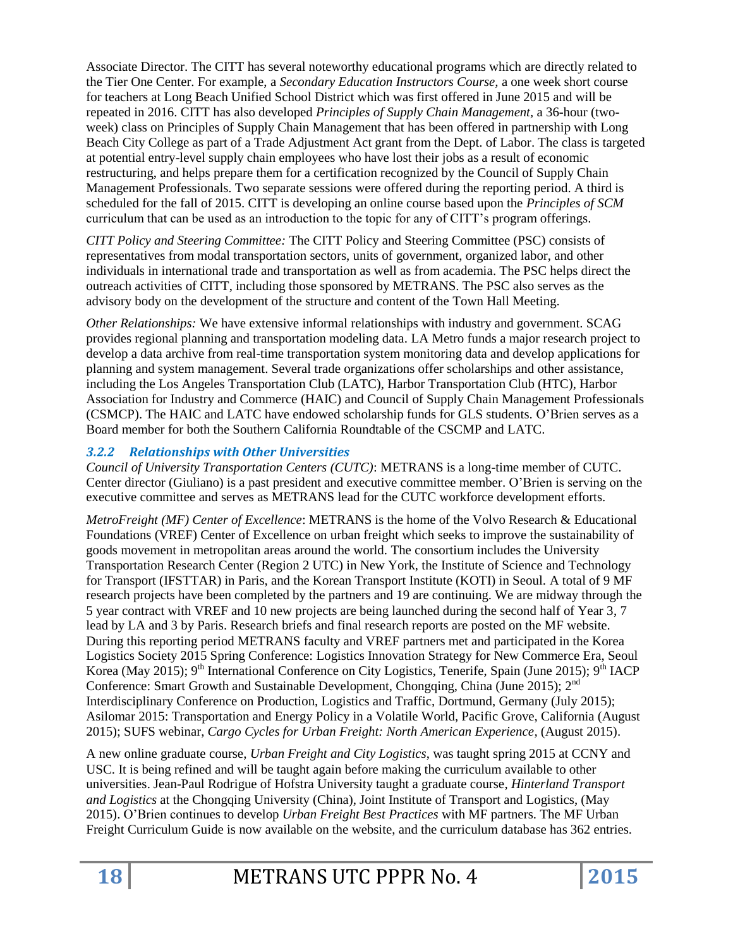Associate Director. The CITT has several noteworthy educational programs which are directly related to the Tier One Center. For example, a *Secondary Education Instructors Course,* a one week short course for teachers at Long Beach Unified School District which was first offered in June 2015 and will be repeated in 2016. CITT has also developed *Principles of Supply Chain Management,* a 36-hour (twoweek) class on Principles of Supply Chain Management that has been offered in partnership with Long Beach City College as part of a Trade Adjustment Act grant from the Dept. of Labor. The class is targeted at potential entry-level supply chain employees who have lost their jobs as a result of economic restructuring, and helps prepare them for a certification recognized by the Council of Supply Chain Management Professionals. Two separate sessions were offered during the reporting period. A third is scheduled for the fall of 2015. CITT is developing an online course based upon the *Principles of SCM* curriculum that can be used as an introduction to the topic for any of CITT's program offerings.

*CITT Policy and Steering Committee:* The CITT Policy and Steering Committee (PSC) consists of representatives from modal transportation sectors, units of government, organized labor, and other individuals in international trade and transportation as well as from academia. The PSC helps direct the outreach activities of CITT, including those sponsored by METRANS. The PSC also serves as the advisory body on the development of the structure and content of the Town Hall Meeting.

*Other Relationships:* We have extensive informal relationships with industry and government. SCAG provides regional planning and transportation modeling data. LA Metro funds a major research project to develop a data archive from real-time transportation system monitoring data and develop applications for planning and system management. Several trade organizations offer scholarships and other assistance, including the Los Angeles Transportation Club (LATC), Harbor Transportation Club (HTC), Harbor Association for Industry and Commerce (HAIC) and Council of Supply Chain Management Professionals (CSMCP). The HAIC and LATC have endowed scholarship funds for GLS students. O'Brien serves as a Board member for both the Southern California Roundtable of the CSCMP and LATC.

## *3.2.2 Relationships with Other Universities*

*Council of University Transportation Centers (CUTC)*: METRANS is a long-time member of CUTC. Center director (Giuliano) is a past president and executive committee member. O'Brien is serving on the executive committee and serves as METRANS lead for the CUTC workforce development efforts.

*MetroFreight (MF) Center of Excellence*: METRANS is the home of the Volvo Research & Educational Foundations (VREF) Center of Excellence on urban freight which seeks to improve the sustainability of goods movement in metropolitan areas around the world. The consortium includes the University Transportation Research Center (Region 2 UTC) in New York, the Institute of Science and Technology for Transport (IFSTTAR) in Paris, and the Korean Transport Institute (KOTI) in Seoul. A total of 9 MF research projects have been completed by the partners and 19 are continuing. We are midway through the 5 year contract with VREF and 10 new projects are being launched during the second half of Year 3, 7 lead by LA and 3 by Paris. Research briefs and final research reports are posted on the MF website. During this reporting period METRANS faculty and VREF partners met and participated in the Korea Logistics Society 2015 Spring Conference: Logistics Innovation Strategy for New Commerce Era, Seoul Korea (May 2015);  $9<sup>th</sup>$  International Conference on City Logistics, Tenerife, Spain (June 2015);  $9<sup>th</sup>$  IACP Conference: Smart Growth and Sustainable Development, Chongqing, China (June 2015); 2<sup>nd</sup> Interdisciplinary Conference on Production, Logistics and Traffic, Dortmund, Germany (July 2015); Asilomar 2015: Transportation and Energy Policy in a Volatile World, Pacific Grove, California (August 2015); SUFS webinar, *Cargo Cycles for Urban Freight: North American Experience,* (August 2015).

A new online graduate course, *Urban Freight and City Logistics*, was taught spring 2015 at CCNY and USC. It is being refined and will be taught again before making the curriculum available to other universities. Jean-Paul Rodrigue of Hofstra University taught a graduate course, *Hinterland Transport and Logistics* at the Chongqing University (China), Joint Institute of Transport and Logistics, (May 2015). O'Brien continues to develop *Urban Freight Best Practices* with MF partners. The MF Urban Freight Curriculum Guide is now available on the website, and the curriculum database has 362 entries.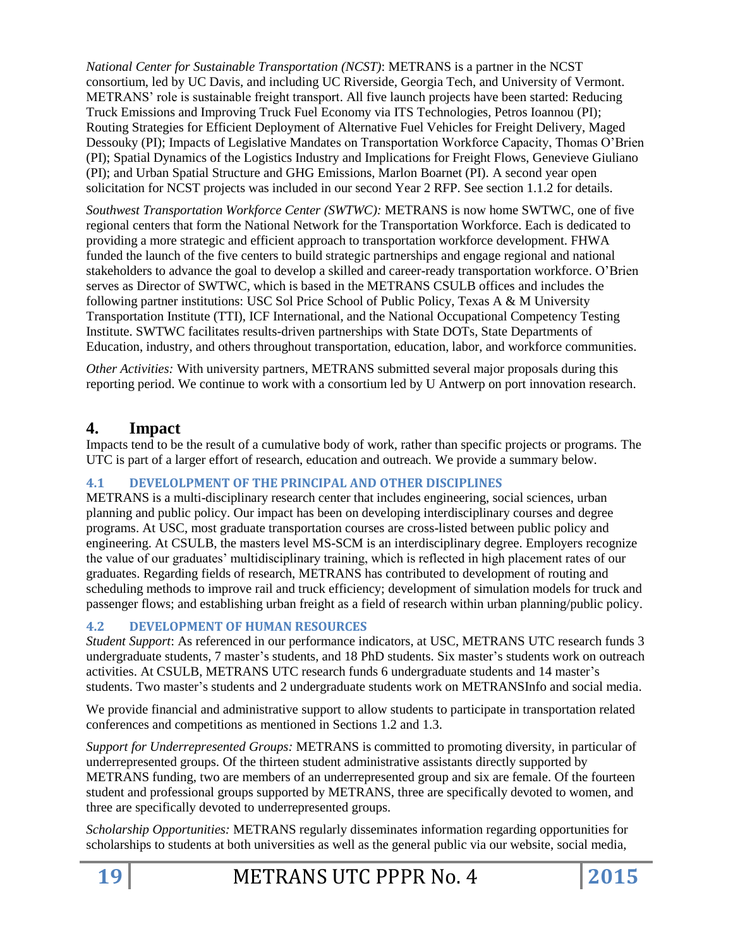*National Center for Sustainable Transportation (NCST)*: METRANS is a partner in the NCST consortium, led by UC Davis, and including UC Riverside, Georgia Tech, and University of Vermont. METRANS' role is sustainable freight transport. All five launch projects have been started: Reducing Truck Emissions and Improving Truck Fuel Economy via ITS Technologies, Petros Ioannou (PI); Routing Strategies for Efficient Deployment of Alternative Fuel Vehicles for Freight Delivery, Maged Dessouky (PI); Impacts of Legislative Mandates on Transportation Workforce Capacity, Thomas O'Brien (PI); Spatial Dynamics of the Logistics Industry and Implications for Freight Flows, Genevieve Giuliano (PI); and Urban Spatial Structure and GHG Emissions, Marlon Boarnet (PI). A second year open solicitation for NCST projects was included in our second Year 2 RFP. See section 1.1.2 for details.

*Southwest Transportation Workforce Center (SWTWC):* METRANS is now home SWTWC, one of five regional centers that form the National Network for the Transportation Workforce. Each is dedicated to providing a more strategic and efficient approach to transportation workforce development. FHWA funded the launch of the five centers to build strategic partnerships and engage regional and national stakeholders to advance the goal to develop a skilled and career-ready transportation workforce. O'Brien serves as Director of SWTWC, which is based in the METRANS CSULB offices and includes the following partner institutions: USC Sol Price School of Public Policy, Texas A & M University Transportation Institute (TTI), ICF International, and the National Occupational Competency Testing Institute. SWTWC facilitates results-driven partnerships with State DOTs, State Departments of Education, industry, and others throughout transportation, education, labor, and workforce communities.

*Other Activities:* With university partners, METRANS submitted several major proposals during this reporting period. We continue to work with a consortium led by U Antwerp on port innovation research.

## **4. Impact**

Impacts tend to be the result of a cumulative body of work, rather than specific projects or programs. The UTC is part of a larger effort of research, education and outreach. We provide a summary below.

## **4.1 DEVELOLPMENT OF THE PRINCIPAL AND OTHER DISCIPLINES**

METRANS is a multi-disciplinary research center that includes engineering, social sciences, urban planning and public policy. Our impact has been on developing interdisciplinary courses and degree programs. At USC, most graduate transportation courses are cross-listed between public policy and engineering. At CSULB, the masters level MS-SCM is an interdisciplinary degree. Employers recognize the value of our graduates' multidisciplinary training, which is reflected in high placement rates of our graduates. Regarding fields of research, METRANS has contributed to development of routing and scheduling methods to improve rail and truck efficiency; development of simulation models for truck and passenger flows; and establishing urban freight as a field of research within urban planning/public policy.

## **4.2 DEVELOPMENT OF HUMAN RESOURCES**

*Student Support*: As referenced in our performance indicators, at USC, METRANS UTC research funds 3 undergraduate students, 7 master's students, and 18 PhD students. Six master's students work on outreach activities. At CSULB, METRANS UTC research funds 6 undergraduate students and 14 master's students. Two master's students and 2 undergraduate students work on METRANSInfo and social media.

We provide financial and administrative support to allow students to participate in transportation related conferences and competitions as mentioned in Sections 1.2 and 1.3.

*Support for Underrepresented Groups:* METRANS is committed to promoting diversity, in particular of underrepresented groups. Of the thirteen student administrative assistants directly supported by METRANS funding, two are members of an underrepresented group and six are female. Of the fourteen student and professional groups supported by METRANS, three are specifically devoted to women, and three are specifically devoted to underrepresented groups.

*Scholarship Opportunities:* METRANS regularly disseminates information regarding opportunities for scholarships to students at both universities as well as the general public via our website, social media,